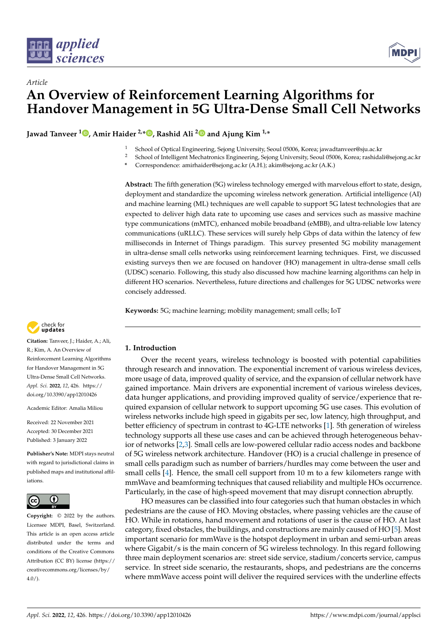



# *Article* **An Overview of Reinforcement Learning Algorithms for Handover Management in 5G Ultra-Dense Small Cell Networks**

**Jawad Tanveer <sup>1</sup> [,](https://orcid.org/ 0000-0002-7363-9759) Amir Haider 2,[\\*](https://orcid.org/0000-0002-1534-061X) , Rashid Ali [2](https://orcid.org/0000-0002-9756-1909) and Ajung Kim 1,\***

- <sup>1</sup> School of Optical Engineering, Sejong University, Seoul 05006, Korea; jawadtanveer@sju.ac.kr
- <sup>2</sup> School of Intelligent Mechatronics Engineering, Sejong University, Seoul 05006, Korea; rashidali@sejong.ac.kr
	- **\*** Correspondence: amirhaider@sejong.ac.kr (A.H.); akim@sejong.ac.kr (A.K.)

**Abstract:** The fifth generation (5G) wireless technology emerged with marvelous effort to state, design, deployment and standardize the upcoming wireless network generation. Artificial intelligence (AI) and machine learning (ML) techniques are well capable to support 5G latest technologies that are expected to deliver high data rate to upcoming use cases and services such as massive machine type communications (mMTC), enhanced mobile broadband (eMBB), and ultra-reliable low latency communications (uRLLC). These services will surely help Gbps of data within the latency of few milliseconds in Internet of Things paradigm. This survey presented 5G mobility management in ultra-dense small cells networks using reinforcement learning techniques. First, we discussed existing surveys then we are focused on handover (HO) management in ultra-dense small cells (UDSC) scenario. Following, this study also discussed how machine learning algorithms can help in different HO scenarios. Nevertheless, future directions and challenges for 5G UDSC networks were concisely addressed.

**Keywords:** 5G; machine learning; mobility management; small cells; IoT



**Citation:** Tanveer, J.; Haider, A.; Ali, R.; Kim, A. An Overview of Reinforcement Learning Algorithms for Handover Management in 5G Ultra-Dense Small Cell Networks. *Appl. Sci.* **2022**, *12*, 426. [https://](https://doi.org/10.3390/app12010426) [doi.org/10.3390/app12010426](https://doi.org/10.3390/app12010426)

Academic Editor: Amalia Miliou

Received: 22 November 2021 Accepted: 30 December 2021 Published: 3 January 2022

**Publisher's Note:** MDPI stays neutral with regard to jurisdictional claims in published maps and institutional affiliations.



**Copyright:** © 2022 by the authors. Licensee MDPI, Basel, Switzerland. This article is an open access article distributed under the terms and conditions of the Creative Commons Attribution (CC BY) license [\(https://](https://creativecommons.org/licenses/by/4.0/) [creativecommons.org/licenses/by/](https://creativecommons.org/licenses/by/4.0/)  $4.0/$ ).

# **1. Introduction**

Over the recent years, wireless technology is boosted with potential capabilities through research and innovation. The exponential increment of various wireless devices, more usage of data, improved quality of service, and the expansion of cellular network have gained importance. Main drivers are exponential increment of various wireless devices, data hunger applications, and providing improved quality of service/experience that required expansion of cellular network to support upcoming 5G use cases. This evolution of wireless networks include high speed in gigabits per sec, low latency, high throughput, and better efficiency of spectrum in contrast to 4G-LTE networks [\[1\]](#page-19-0). 5th generation of wireless technology supports all these use cases and can be achieved through heterogeneous behavior of networks [\[2,](#page-19-1)[3\]](#page-19-2). Small cells are low-powered cellular radio access nodes and backbone of 5G wireless network architecture. Handover (HO) is a crucial challenge in presence of small cells paradigm such as number of barriers/hurdles may come between the user and small cells [\[4\]](#page-19-3). Hence, the small cell support from 10 m to a few kilometers range with mmWave and beamforming techniques that caused reliability and multiple HOs occurrence. Particularly, in the case of high-speed movement that may disrupt connection abruptly.

HO measures can be classified into four categories such that human obstacles in which pedestrians are the cause of HO. Moving obstacles, where passing vehicles are the cause of HO. While in rotations, hand movement and rotations of user is the cause of HO. At last category, fixed obstacles, the buildings, and constructions are mainly caused of HO [\[5\]](#page-20-0). Most important scenario for mmWave is the hotspot deployment in urban and semi-urban areas where Gigabit/s is the main concern of 5G wireless technology. In this regard following three main deployment scenarios are: street side service, stadium/concerts service, campus service. In street side scenario, the restaurants, shops, and pedestrians are the concerns where mmWave access point will deliver the required services with the underline effects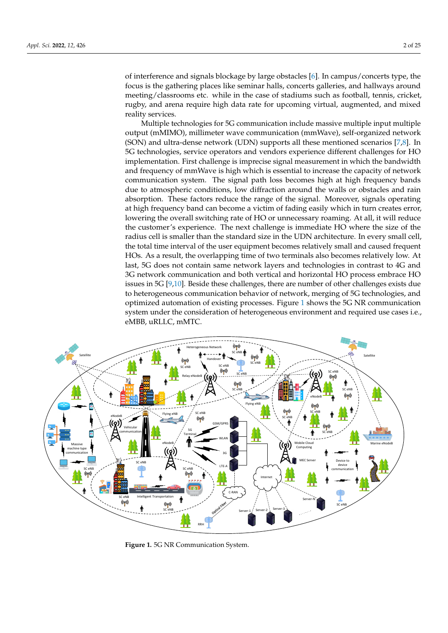of interference and signals blockage by large obstacles [\[6\]](#page-20-1). In campus/concerts type, the focus is the gathering places like seminar halls, concerts galleries, and hallways around meeting/classrooms etc. while in the case of stadiums such as football, tennis, cricket, rugby, and arena require high data rate for upcoming virtual, augmented, and mixed reality services.

Multiple technologies for 5G communication include massive multiple input multiple output (mMIMO), millimeter wave communication (mmWave), self-organized network (SON) and ultra-dense network (UDN) supports all these mentioned scenarios [\[7](#page-20-2)[,8\]](#page-20-3). In 5G technologies, service operators and vendors experience different challenges for HO implementation. First challenge is imprecise signal measurement in which the bandwidth and frequency of mmWave is high which is essential to increase the capacity of network communication system. The signal path loss becomes high at high frequency bands due to atmospheric conditions, low diffraction around the walls or obstacles and rain absorption. These factors reduce the range of the signal. Moreover, signals operating at high frequency band can become a victim of fading easily which in turn creates error, lowering the overall switching rate of HO or unnecessary roaming. At all, it will reduce the customer's experience. The next challenge is immediate HO where the size of the radius cell is smaller than the standard size in the UDN architecture. In every small cell, the total time interval of the user equipment becomes relatively small and caused frequent HOs. As a result, the overlapping time of two terminals also becomes relatively low. At last, 5G does not contain same network layers and technologies in contrast to 4G and 3G network communication and both vertical and horizontal HO process embrace HO issues in 5G [\[9,](#page-20-4)[10\]](#page-20-5). Beside these challenges, there are number of other challenges exists due to heterogeneous communication behavior of network, merging of 5G technologies, and optimized automation of existing processes. Figure [1](#page-1-0) shows the 5G NR communication system under the consideration of heterogeneous environment and required use cases i.e., eMBB, uRLLC, mMTC.

<span id="page-1-0"></span>

**Figure 1.** 5G NR Communication System.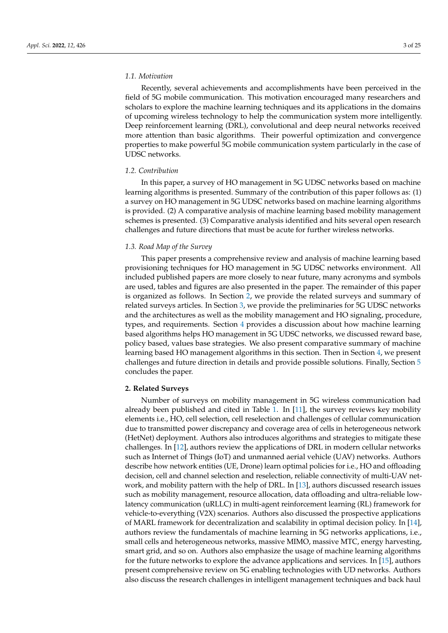## *1.1. Motivation*

Recently, several achievements and accomplishments have been perceived in the field of 5G mobile communication. This motivation encouraged many researchers and scholars to explore the machine learning techniques and its applications in the domains of upcoming wireless technology to help the communication system more intelligently. Deep reinforcement learning (DRL), convolutional and deep neural networks received more attention than basic algorithms. Their powerful optimization and convergence properties to make powerful 5G mobile communication system particularly in the case of UDSC networks.

# *1.2. Contribution*

In this paper, a survey of HO management in 5G UDSC networks based on machine learning algorithms is presented. Summary of the contribution of this paper follows as: (1) a survey on HO management in 5G UDSC networks based on machine learning algorithms is provided. (2) A comparative analysis of machine learning based mobility management schemes is presented. (3) Comparative analysis identified and hits several open research challenges and future directions that must be acute for further wireless networks.

## *1.3. Road Map of the Survey*

This paper presents a comprehensive review and analysis of machine learning based provisioning techniques for HO management in 5G UDSC networks environment. All included published papers are more closely to near future, many acronyms and symbols are used, tables and figures are also presented in the paper. The remainder of this paper is organized as follows. In Section [2,](#page-2-0) we provide the related surveys and summary of related surveys articles. In Section [3,](#page-4-0) we provide the preliminaries for 5G UDSC networks and the architectures as well as the mobility management and HO signaling, procedure, types, and requirements. Section [4](#page-12-0) provides a discussion about how machine learning based algorithms helps HO management in 5G UDSC networks, we discussed reward base, policy based, values base strategies. We also present comparative summary of machine learning based HO management algorithms in this section. Then in Section [4,](#page-12-0) we present challenges and future direction in details and provide possible solutions. Finally, Section [5](#page-16-0) concludes the paper.

## <span id="page-2-0"></span>**2. Related Surveys**

Number of surveys on mobility management in 5G wireless communication had already been published and cited in Table [1.](#page-3-0) In [\[11\]](#page-20-6), the survey reviews key mobility elements i.e., HO, cell selection, cell reselection and challenges of cellular communication due to transmitted power discrepancy and coverage area of cells in heterogeneous network (HetNet) deployment. Authors also introduces algorithms and strategies to mitigate these challenges. In [\[12\]](#page-20-7), authors review the applications of DRL in modern cellular networks such as Internet of Things (IoT) and unmanned aerial vehicle (UAV) networks. Authors describe how network entities (UE, Drone) learn optimal policies for i.e., HO and offloading decision, cell and channel selection and reselection, reliable connectivity of multi-UAV network, and mobility pattern with the help of DRL. In [\[13\]](#page-20-8), authors discussed research issues such as mobility management, resource allocation, data offloading and ultra-reliable lowlatency communication (uRLLC) in multi-agent reinforcement learning (RL) framework for vehicle-to-everything (V2X) scenarios. Authors also discussed the prospective applications of MARL framework for decentralization and scalability in optimal decision policy. In [\[14\]](#page-20-9), authors review the fundamentals of machine learning in 5G networks applications, i.e., small cells and heterogeneous networks, massive MIMO, massive MTC, energy harvesting, smart grid, and so on. Authors also emphasize the usage of machine learning algorithms for the future networks to explore the advance applications and services. In [\[15\]](#page-20-10), authors present comprehensive review on 5G enabling technologies with UD networks. Authors also discuss the research challenges in intelligent management techniques and back haul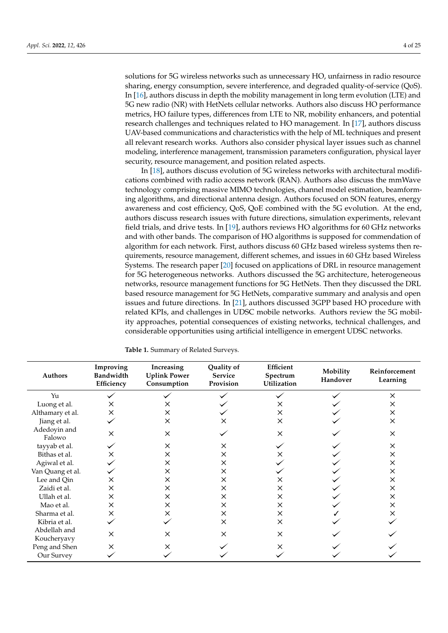solutions for 5G wireless networks such as unnecessary HO, unfairness in radio resource sharing, energy consumption, severe interference, and degraded quality-of-service (QoS). In [\[16\]](#page-20-11), authors discuss in depth the mobility management in long term evolution (LTE) and 5G new radio (NR) with HetNets cellular networks. Authors also discuss HO performance metrics, HO failure types, differences from LTE to NR, mobility enhancers, and potential research challenges and techniques related to HO management. In [\[17\]](#page-20-12), authors discuss UAV-based communications and characteristics with the help of ML techniques and present all relevant research works. Authors also consider physical layer issues such as channel modeling, interference management, transmission parameters configuration, physical layer security, resource management, and position related aspects.

In [\[18\]](#page-20-13), authors discuss evolution of 5G wireless networks with architectural modifications combined with radio access network (RAN). Authors also discuss the mmWave technology comprising massive MIMO technologies, channel model estimation, beamforming algorithms, and directional antenna design. Authors focused on SON features, energy awareness and cost efficiency, QoS, QoE combined with the 5G evolution. At the end, authors discuss research issues with future directions, simulation experiments, relevant field trials, and drive tests. In [\[19\]](#page-20-14), authors reviews HO algorithms for 60 GHz networks and with other bands. The comparison of HO algorithms is supposed for commendation of algorithm for each network. First, authors discuss 60 GHz based wireless systems then requirements, resource management, different schemes, and issues in 60 GHz based Wireless Systems. The research paper [\[20\]](#page-20-15) focused on applications of DRL in resource management for 5G heterogeneous networks. Authors discussed the 5G architecture, heterogeneous networks, resource management functions for 5G HetNets. Then they discussed the DRL based resource management for 5G HetNets, comparative summary and analysis and open issues and future directions. In [\[21\]](#page-20-16), authors discussed 3GPP based HO procedure with related KPIs, and challenges in UDSC mobile networks. Authors review the 5G mobility approaches, potential consequences of existing networks, technical challenges, and considerable opportunities using artificial intelligence in emergent UDSC networks.

| Authors                     | Improving<br>Bandwidth<br>Efficiency | Increasing<br><b>Uplink Power</b><br>Consumption | Quality of<br><b>Service</b><br>Provision | Efficient<br>Spectrum<br>Utilization | Mobility<br>Handover | Reinforcement<br>Learning |
|-----------------------------|--------------------------------------|--------------------------------------------------|-------------------------------------------|--------------------------------------|----------------------|---------------------------|
| Yu                          |                                      |                                                  |                                           |                                      |                      | $\times$                  |
| Luong et al.                | X                                    | x                                                |                                           | х                                    |                      | ×                         |
| Althamary et al.            | ×                                    | $\times$                                         |                                           | ×                                    |                      | ×                         |
| Jiang et al.                |                                      | ×                                                | x                                         | X                                    |                      | X                         |
| Adedoyin and<br>Falowo      | X                                    | $\times$                                         |                                           | X                                    |                      | $\times$                  |
| tayyab et al.               |                                      | $\times$                                         | X                                         |                                      |                      | X                         |
| Bithas et al.               | X                                    | ×                                                | $\times$                                  | x                                    |                      | $\times$                  |
| Agiwal et al.               |                                      | ×                                                | $\times$                                  |                                      |                      | ×                         |
| Van Quang et al.            |                                      | ×                                                | $\times$                                  |                                      |                      | X                         |
| Lee and Qin                 | X                                    | $\times$                                         | $\times$                                  | X                                    |                      | ×                         |
| Zaidi et al.                | ×                                    | X                                                | X                                         | ×                                    |                      | ×                         |
| Ullah et al.                | X                                    | X                                                | $\times$                                  | X                                    |                      | $\times$                  |
| Mao et al.                  | X                                    | $\times$                                         | $\times$                                  | X                                    |                      | ×                         |
| Sharma et al.               | ×                                    | $\times$                                         | $\times$                                  | X                                    |                      | $\times$                  |
| Kibria et al.               |                                      |                                                  | $\times$                                  | X                                    |                      |                           |
| Abdellah and<br>Koucheryavy | $\times$                             | $\times$                                         | $\times$                                  | X                                    |                      |                           |
| Peng and Shen               | ×                                    | x                                                |                                           |                                      |                      |                           |
| Our Survey                  |                                      |                                                  |                                           |                                      |                      |                           |

<span id="page-3-0"></span>**Table 1.** Summary of Related Surveys.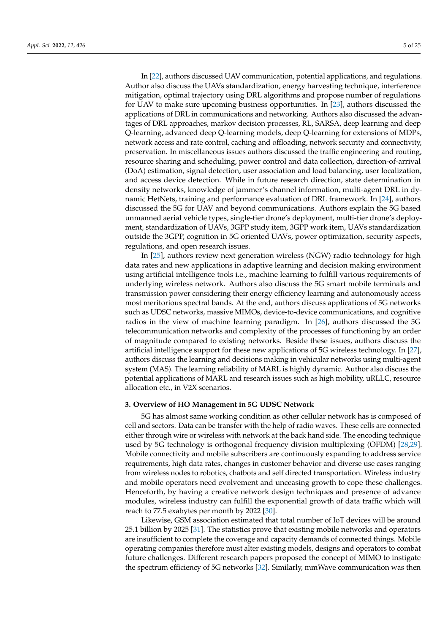In [\[22\]](#page-20-17), authors discussed UAV communication, potential applications, and regulations. Author also discuss the UAVs standardization, energy harvesting technique, interference mitigation, optimal trajectory using DRL algorithms and propose number of regulations for UAV to make sure upcoming business opportunities. In [\[23\]](#page-20-18), authors discussed the applications of DRL in communications and networking. Authors also discussed the advantages of DRL approaches, markov decision processes, RL, SARSA, deep learning and deep Q-learning, advanced deep Q-learning models, deep Q-learning for extensions of MDPs, network access and rate control, caching and offloading, network security and connectivity, preservation. In miscellaneous issues authors discussed the traffic engineering and routing, resource sharing and scheduling, power control and data collection, direction-of-arrival (DoA) estimation, signal detection, user association and load balancing, user localization, and access device detection. While in future research direction, state determination in density networks, knowledge of jammer's channel information, multi-agent DRL in dynamic HetNets, training and performance evaluation of DRL framework. In [\[24\]](#page-20-19), authors discussed the 5G for UAV and beyond communications. Authors explain the 5G based unmanned aerial vehicle types, single-tier drone's deployment, multi-tier drone's deployment, standardization of UAVs, 3GPP study item, 3GPP work item, UAVs standardization outside the 3GPP, cognition in 5G oriented UAVs, power optimization, security aspects, regulations, and open research issues.

In [\[25\]](#page-20-20), authors review next generation wireless (NGW) radio technology for high data rates and new applications in adaptive learning and decision making environment using artificial intelligence tools i.e., machine learning to fulfill various requirements of underlying wireless network. Authors also discuss the 5G smart mobile terminals and transmission power considering their energy efficiency learning and autonomously access most meritorious spectral bands. At the end, authors discuss applications of 5G networks such as UDSC networks, massive MIMOs, device-to-device communications, and cognitive radios in the view of machine learning paradigm. In [\[26\]](#page-20-21), authors discussed the 5G telecommunication networks and complexity of the processes of functioning by an order of magnitude compared to existing networks. Beside these issues, authors discuss the artificial intelligence support for these new applications of 5G wireless technology. In [\[27\]](#page-20-22), authors discuss the learning and decisions making in vehicular networks using multi-agent system (MAS). The learning reliability of MARL is highly dynamic. Author also discuss the potential applications of MARL and research issues such as high mobility, uRLLC, resource allocation etc., in V2X scenarios.

#### <span id="page-4-0"></span>**3. Overview of HO Management in 5G UDSC Network**

5G has almost same working condition as other cellular network has is composed of cell and sectors. Data can be transfer with the help of radio waves. These cells are connected either through wire or wireless with network at the back hand side. The encoding technique used by 5G technology is orthogonal frequency division multiplexing (OFDM) [\[28,](#page-20-23)[29\]](#page-20-24). Mobile connectivity and mobile subscribers are continuously expanding to address service requirements, high data rates, changes in customer behavior and diverse use cases ranging from wireless nodes to robotics, chatbots and self directed transportation. Wireless industry and mobile operators need evolvement and unceasing growth to cope these challenges. Henceforth, by having a creative network design techniques and presence of advance modules, wireless industry can fulfill the exponential growth of data traffic which will reach to 77.5 exabytes per month by 2022 [\[30\]](#page-20-25).

Likewise, GSM association estimated that total number of IoT devices will be around 25.1 billion by 2025 [\[31\]](#page-20-26). The statistics prove that existing mobile networks and operators are insufficient to complete the coverage and capacity demands of connected things. Mobile operating companies therefore must alter existing models, designs and operators to combat future challenges. Different research papers proposed the concept of MIMO to instigate the spectrum efficiency of 5G networks [\[32\]](#page-21-0). Similarly, mmWave communication was then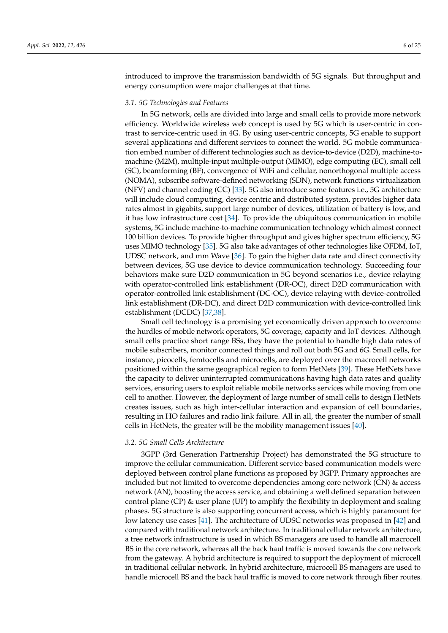introduced to improve the transmission bandwidth of 5G signals. But throughput and energy consumption were major challenges at that time.

## *3.1. 5G Technologies and Features*

In 5G network, cells are divided into large and small cells to provide more network efficiency. Worldwide wireless web concept is used by 5G which is user-centric in contrast to service-centric used in 4G. By using user-centric concepts, 5G enable to support several applications and different services to connect the world. 5G mobile communication embed number of different technologies such as device-to-device (D2D), machine-tomachine (M2M), multiple-input multiple-output (MIMO), edge computing (EC), small cell (SC), beamforming (BF), convergence of WiFi and cellular, nonorthogonal multiple access (NOMA), subscribe software-defined networking (SDN), network functions virtualization (NFV) and channel coding (CC) [\[33\]](#page-21-1). 5G also introduce some features i.e., 5G architecture will include cloud computing, device centric and distributed system, provides higher data rates almost in gigabits, support large number of devices, utilization of battery is low, and it has low infrastructure cost [\[34\]](#page-21-2). To provide the ubiquitous communication in mobile systems, 5G include machine-to-machine communication technology which almost connect 100 billion devices. To provide higher throughput and gives higher spectrum efficiency, 5G uses MIMO technology [\[35\]](#page-21-3). 5G also take advantages of other technologies like OFDM, IoT, UDSC network, and mm Wave [\[36\]](#page-21-4). To gain the higher data rate and direct connectivity between devices, 5G use device to device communication technology. Succeeding four behaviors make sure D2D communication in 5G beyond scenarios i.e., device relaying with operator-controlled link establishment (DR-OC), direct D2D communication with operator-controlled link establishment (DC-OC), device relaying with device-controlled link establishment (DR-DC), and direct D2D communication with device-controlled link establishment (DCDC) [\[37,](#page-21-5)[38\]](#page-21-6).

Small cell technology is a promising yet economically driven approach to overcome the hurdles of mobile network operators, 5G coverage, capacity and IoT devices. Although small cells practice short range BSs, they have the potential to handle high data rates of mobile subscribers, monitor connected things and roll out both 5G and 6G. Small cells, for instance, picocells, femtocells and microcells, are deployed over the macrocell networks positioned within the same geographical region to form HetNets [\[39\]](#page-21-7). These HetNets have the capacity to deliver uninterrupted communications having high data rates and quality services, ensuring users to exploit reliable mobile networks services while moving from one cell to another. However, the deployment of large number of small cells to design HetNets creates issues, such as high inter-cellular interaction and expansion of cell boundaries, resulting in HO failures and radio link failure. All in all, the greater the number of small cells in HetNets, the greater will be the mobility management issues [\[40\]](#page-21-8).

#### *3.2. 5G Small Cells Architecture*

3GPP (3rd Generation Partnership Project) has demonstrated the 5G structure to improve the cellular communication. Different service based communication models were deployed between control plane functions as proposed by 3GPP. Primary approaches are included but not limited to overcome dependencies among core network (CN) & access network (AN), boosting the access service, and obtaining a well defined separation between control plane (CP) & user plane (UP) to amplify the flexibility in deployment and scaling phases. 5G structure is also supporting concurrent access, which is highly paramount for low latency use cases [\[41\]](#page-21-9). The architecture of UDSC networks was proposed in [\[42\]](#page-21-10) and compared with traditional network architecture. In traditional cellular network architecture, a tree network infrastructure is used in which BS managers are used to handle all macrocell BS in the core network, whereas all the back haul traffic is moved towards the core network from the gateway. A hybrid architecture is required to support the deployment of microcell in traditional cellular network. In hybrid architecture, microcell BS managers are used to handle microcell BS and the back haul traffic is moved to core network through fiber routes.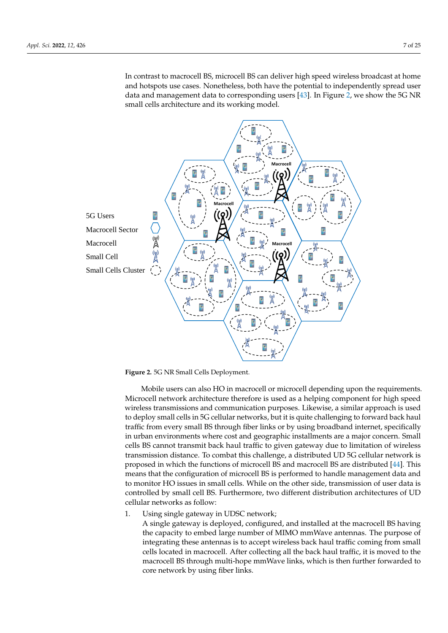<span id="page-6-0"></span>In contrast to macrocell BS, microcell BS can deliver high speed wireless broadcast at home and hotspots use cases. Nonetheless, both have the potential to independently spread user data and management data to corresponding users [\[43\]](#page-21-11). In Figure [2,](#page-6-0) we show the 5G NR small cells architecture and its working model.



**Figure 2.** 5G NR Small Cells Deployment.

Mobile users can also HO in macrocell or microcell depending upon the requirements. Microcell network architecture therefore is used as a helping component for high speed wireless transmissions and communication purposes. Likewise, a similar approach is used to deploy small cells in 5G cellular networks, but it is quite challenging to forward back haul traffic from every small BS through fiber links or by using broadband internet, specifically in urban environments where cost and geographic installments are a major concern. Small cells BS cannot transmit back haul traffic to given gateway due to limitation of wireless transmission distance. To combat this challenge, a distributed UD 5G cellular network is proposed in which the functions of microcell BS and macrocell BS are distributed [\[44\]](#page-21-12). This means that the configuration of microcell BS is performed to handle management data and to monitor HO issues in small cells. While on the other side, transmission of user data is controlled by small cell BS. Furthermore, two different distribution architectures of UD cellular networks as follow:

1. Using single gateway in UDSC network;

A single gateway is deployed, configured, and installed at the macrocell BS having the capacity to embed large number of MIMO mmWave antennas. The purpose of integrating these antennas is to accept wireless back haul traffic coming from small cells located in macrocell. After collecting all the back haul traffic, it is moved to the macrocell BS through multi-hope mmWave links, which is then further forwarded to core network by using fiber links.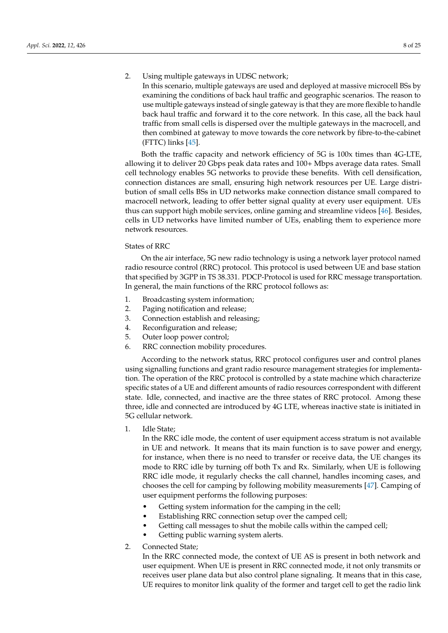# 2. Using multiple gateways in UDSC network;

In this scenario, multiple gateways are used and deployed at massive microcell BSs by examining the conditions of back haul traffic and geographic scenarios. The reason to use multiple gateways instead of single gateway is that they are more flexible to handle back haul traffic and forward it to the core network. In this case, all the back haul traffic from small cells is dispersed over the multiple gateways in the macrocell, and then combined at gateway to move towards the core network by fibre-to-the-cabinet (FTTC) links [\[45\]](#page-21-13).

Both the traffic capacity and network efficiency of 5G is 100x times than 4G-LTE, allowing it to deliver 20 Gbps peak data rates and 100+ Mbps average data rates. Small cell technology enables 5G networks to provide these benefits. With cell densification, connection distances are small, ensuring high network resources per UE. Large distribution of small cells BSs in UD networks make connection distance small compared to macrocell network, leading to offer better signal quality at every user equipment. UEs thus can support high mobile services, online gaming and streamline videos [\[46\]](#page-21-14). Besides, cells in UD networks have limited number of UEs, enabling them to experience more network resources.

## States of RRC

On the air interface, 5G new radio technology is using a network layer protocol named radio resource control (RRC) protocol. This protocol is used between UE and base station that specified by 3GPP in TS 38.331. PDCP-Protocol is used for RRC message transportation. In general, the main functions of the RRC protocol follows as:

- 1. Broadcasting system information;
- 2. Paging notification and release;
- 3. Connection establish and releasing;
- 4. Reconfiguration and release;
- 5. Outer loop power control;
- 6. RRC connection mobility procedures.

According to the network status, RRC protocol configures user and control planes using signalling functions and grant radio resource management strategies for implementation. The operation of the RRC protocol is controlled by a state machine which characterize specific states of a UE and different amounts of radio resources correspondent with different state. Idle, connected, and inactive are the three states of RRC protocol. Among these three, idle and connected are introduced by 4G LTE, whereas inactive state is initiated in 5G cellular network.

1. Idle State;

In the RRC idle mode, the content of user equipment access stratum is not available in UE and network. It means that its main function is to save power and energy, for instance, when there is no need to transfer or receive data, the UE changes its mode to RRC idle by turning off both Tx and Rx. Similarly, when UE is following RRC idle mode, it regularly checks the call channel, handles incoming cases, and chooses the cell for camping by following mobility measurements [\[47\]](#page-21-15). Camping of user equipment performs the following purposes:

- Getting system information for the camping in the cell;
- Establishing RRC connection setup over the camped cell;
- Getting call messages to shut the mobile calls within the camped cell;
- Getting public warning system alerts.
- 2. Connected State;

In the RRC connected mode, the context of UE AS is present in both network and user equipment. When UE is present in RRC connected mode, it not only transmits or receives user plane data but also control plane signaling. It means that in this case, UE requires to monitor link quality of the former and target cell to get the radio link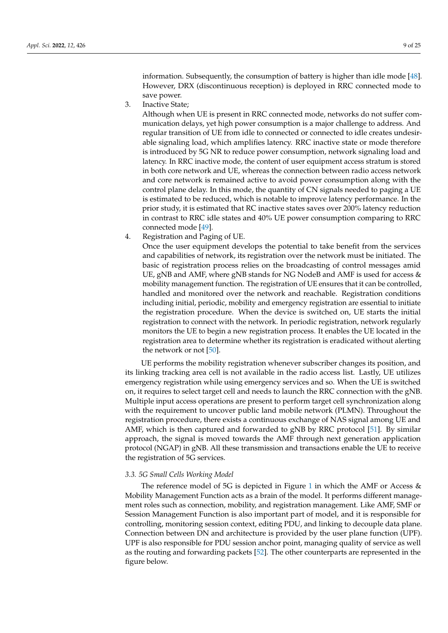information. Subsequently, the consumption of battery is higher than idle mode [\[48\]](#page-21-16). However, DRX (discontinuous reception) is deployed in RRC connected mode to save power.

3. Inactive State;

Although when UE is present in RRC connected mode, networks do not suffer communication delays, yet high power consumption is a major challenge to address. And regular transition of UE from idle to connected or connected to idle creates undesirable signaling load, which amplifies latency. RRC inactive state or mode therefore is introduced by 5G NR to reduce power consumption, network signaling load and latency. In RRC inactive mode, the content of user equipment access stratum is stored in both core network and UE, whereas the connection between radio access network and core network is remained active to avoid power consumption along with the control plane delay. In this mode, the quantity of CN signals needed to paging a UE is estimated to be reduced, which is notable to improve latency performance. In the prior study, it is estimated that RC inactive states saves over 200% latency reduction in contrast to RRC idle states and 40% UE power consumption comparing to RRC connected mode [\[49\]](#page-21-17).

4. Registration and Paging of UE.

Once the user equipment develops the potential to take benefit from the services and capabilities of network, its registration over the network must be initiated. The basic of registration process relies on the broadcasting of control messages amid UE, gNB and AMF, where gNB stands for NG NodeB and AMF is used for access & mobility management function. The registration of UE ensures that it can be controlled, handled and monitored over the network and reachable. Registration conditions including initial, periodic, mobility and emergency registration are essential to initiate the registration procedure. When the device is switched on, UE starts the initial registration to connect with the network. In periodic registration, network regularly monitors the UE to begin a new registration process. It enables the UE located in the registration area to determine whether its registration is eradicated without alerting the network or not [\[50\]](#page-21-18).

UE performs the mobility registration whenever subscriber changes its position, and its linking tracking area cell is not available in the radio access list. Lastly, UE utilizes emergency registration while using emergency services and so. When the UE is switched on, it requires to select target cell and needs to launch the RRC connection with the gNB. Multiple input access operations are present to perform target cell synchronization along with the requirement to uncover public land mobile network (PLMN). Throughout the registration procedure, there exists a continuous exchange of NAS signal among UE and AMF, which is then captured and forwarded to gNB by RRC protocol [\[51\]](#page-21-19). By similar approach, the signal is moved towards the AMF through next generation application protocol (NGAP) in gNB. All these transmission and transactions enable the UE to receive the registration of 5G services.

# *3.3. 5G Small Cells Working Model*

The reference model of 5G is depicted in Figure [1](#page-1-0) in which the AMF or Access  $\&$ Mobility Management Function acts as a brain of the model. It performs different management roles such as connection, mobility, and registration management. Like AMF, SMF or Session Management Function is also important part of model, and it is responsible for controlling, monitoring session context, editing PDU, and linking to decouple data plane. Connection between DN and architecture is provided by the user plane function (UPF). UPF is also responsible for PDU session anchor point, managing quality of service as well as the routing and forwarding packets [\[52\]](#page-21-20). The other counterparts are represented in the figure below.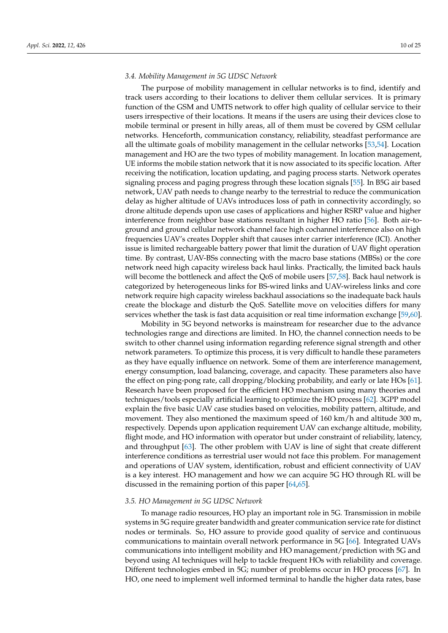#### *3.4. Mobility Management in 5G UDSC Network*

The purpose of mobility management in cellular networks is to find, identify and track users according to their locations to deliver them cellular services. It is primary function of the GSM and UMTS network to offer high quality of cellular service to their users irrespective of their locations. It means if the users are using their devices close to mobile terminal or present in hilly areas, all of them must be covered by GSM cellular networks. Henceforth, communication constancy, reliability, steadfast performance are all the ultimate goals of mobility management in the cellular networks [\[53](#page-21-21)[,54\]](#page-21-22). Location management and HO are the two types of mobility management. In location management, UE informs the mobile station network that it is now associated to its specific location. After receiving the notification, location updating, and paging process starts. Network operates signaling process and paging progress through these location signals [\[55\]](#page-21-23). In B5G air based network, UAV path needs to change nearby to the terrestrial to reduce the communication delay as higher altitude of UAVs introduces loss of path in connectivity accordingly, so drone altitude depends upon use cases of applications and higher RSRP value and higher interference from neighbor base stations resultant in higher HO ratio [\[56\]](#page-21-24). Both air-toground and ground cellular network channel face high cochannel interference also on high frequencies UAV's creates Doppler shift that causes inter carrier interference (ICI). Another issue is limited rechargeable battery power that limit the duration of UAV flight operation time. By contrast, UAV-BSs connecting with the macro base stations (MBSs) or the core network need high capacity wireless back haul links. Practically, the limited back hauls will become the bottleneck and affect the QoS of mobile users [\[57](#page-21-25)[,58\]](#page-21-26). Back haul network is categorized by heterogeneous links for BS-wired links and UAV-wireless links and core network require high capacity wireless backhaul associations so the inadequate back hauls create the blockage and disturb the QoS. Satellite move on velocities differs for many services whether the task is fast data acquisition or real time information exchange [\[59](#page-21-27)[,60\]](#page-21-28).

Mobility in 5G beyond networks is mainstream for researcher due to the advance technologies range and directions are limited. In HO, the channel connection needs to be switch to other channel using information regarding reference signal strength and other network parameters. To optimize this process, it is very difficult to handle these parameters as they have equally influence on network. Some of them are interference management, energy consumption, load balancing, coverage, and capacity. These parameters also have the effect on ping-pong rate, call dropping/blocking probability, and early or late HOs [\[61\]](#page-22-0). Research have been proposed for the efficient HO mechanism using many theories and techniques/tools especially artificial learning to optimize the HO process [\[62\]](#page-22-1). 3GPP model explain the five basic UAV case studies based on velocities, mobility pattern, altitude, and movement. They also mentioned the maximum speed of 160 km/h and altitude 300 m, respectively. Depends upon application requirement UAV can exchange altitude, mobility, flight mode, and HO information with operator but under constraint of reliability, latency, and throughput [\[63\]](#page-22-2). The other problem with UAV is line of sight that create different interference conditions as terrestrial user would not face this problem. For management and operations of UAV system, identification, robust and efficient connectivity of UAV is a key interest. HO management and how we can acquire 5G HO through RL will be discussed in the remaining portion of this paper [\[64,](#page-22-3)[65\]](#page-22-4).

#### *3.5. HO Management in 5G UDSC Network*

To manage radio resources, HO play an important role in 5G. Transmission in mobile systems in 5G require greater bandwidth and greater communication service rate for distinct nodes or terminals. So, HO assure to provide good quality of service and continuous communications to maintain overall network performance in 5G [\[66\]](#page-22-5). Integrated UAVs communications into intelligent mobility and HO management/prediction with 5G and beyond using AI techniques will help to tackle frequent HOs with reliability and coverage. Different technologies embed in 5G; number of problems occur in HO process [\[67\]](#page-22-6). In HO, one need to implement well informed terminal to handle the higher data rates, base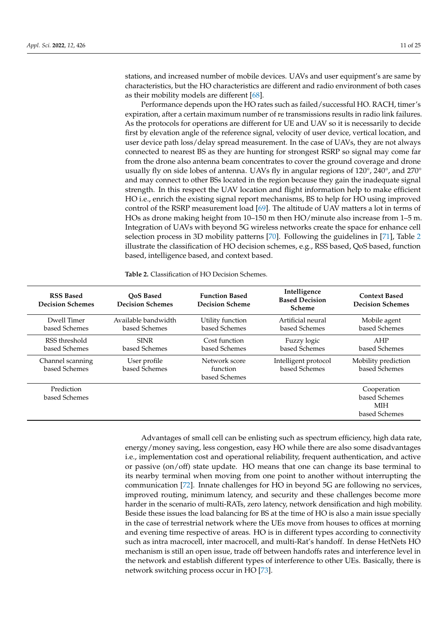stations, and increased number of mobile devices. UAVs and user equipment's are same by characteristics, but the HO characteristics are different and radio environment of both cases as their mobility models are different [\[68\]](#page-22-7).

Performance depends upon the HO rates such as failed/successful HO. RACH, timer's expiration, after a certain maximum number of re transmissions results in radio link failures. As the protocols for operations are different for UE and UAV so it is necessarily to decide first by elevation angle of the reference signal, velocity of user device, vertical location, and user device path loss/delay spread measurement. In the case of UAVs, they are not always connected to nearest BS as they are hunting for strongest RSRP so signal may come far from the drone also antenna beam concentrates to cover the ground coverage and drone usually fly on side lobes of antenna. UAVs fly in angular regions of 120°, 240°, and 270° and may connect to other BSs located in the region because they gain the inadequate signal strength. In this respect the UAV location and flight information help to make efficient HO i.e., enrich the existing signal report mechanisms, BS to help for HO using improved control of the RSRP measurement load [\[69\]](#page-22-8). The altitude of UAV matters a lot in terms of HOs as drone making height from 10–150 m then HO/minute also increase from 1–5 m. Integration of UAVs with beyond 5G wireless networks create the space for enhance cell selection process in 3D mobility patterns [\[70\]](#page-22-9). Following the guidelines in [\[71\]](#page-22-10), Table [2](#page-10-0) illustrate the classification of HO decision schemes, e.g., RSS based, QoS based, function based, intelligence based, and context based.

| <b>RSS Based</b><br><b>Decision Schemes</b> | OoS Based<br><b>Decision Schemes</b> | <b>Function Based</b><br><b>Decision Scheme</b> | Intelligence<br><b>Based Decision</b><br><b>Scheme</b> | <b>Context Based</b><br><b>Decision Schemes</b>             |
|---------------------------------------------|--------------------------------------|-------------------------------------------------|--------------------------------------------------------|-------------------------------------------------------------|
| Dwell Timer<br>based Schemes                | Available bandwidth<br>based Schemes | Utility function<br>based Schemes               | Artificial neural<br>based Schemes                     | Mobile agent<br>based Schemes                               |
| RSS threshold<br>based Schemes              | <b>SINR</b><br>based Schemes         | Cost function<br>based Schemes                  | Fuzzy logic<br>based Schemes                           | AHP<br>based Schemes                                        |
| Channel scanning<br>based Schemes           | User profile<br>based Schemes        | Network score<br>function<br>based Schemes      | Intelligent protocol<br>based Schemes                  | Mobility prediction<br>based Schemes                        |
| Prediction<br>based Schemes                 |                                      |                                                 |                                                        | Cooperation<br>based Schemes<br><b>MIH</b><br>based Schemes |

<span id="page-10-0"></span>**Table 2.** Classification of HO Decision Schemes.

Advantages of small cell can be enlisting such as spectrum efficiency, high data rate, energy/money saving, less congestion, easy HO while there are also some disadvantages i.e., implementation cost and operational reliability, frequent authentication, and active or passive (on/off) state update. HO means that one can change its base terminal to its nearby terminal when moving from one point to another without interrupting the communication [\[72\]](#page-22-11). Innate challenges for HO in beyond 5G are following no services, improved routing, minimum latency, and security and these challenges become more harder in the scenario of multi-RATs, zero latency, network densification and high mobility. Beside these issues the load balancing for BS at the time of HO is also a main issue specially in the case of terrestrial network where the UEs move from houses to offices at morning and evening time respective of areas. HO is in different types according to connectivity such as intra macrocell, inter macrocell, and multi-Rat's handoff. In dense HetNets HO mechanism is still an open issue, trade off between handoffs rates and interference level in the network and establish different types of interference to other UEs. Basically, there is network switching process occur in HO [\[73\]](#page-22-12).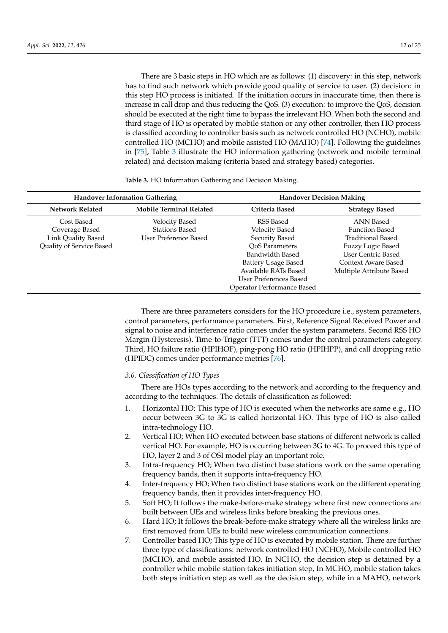There are 3 basic steps in HO which are as follows: (1) discovery: in this step, network has to find such network which provide good quality of service to user. (2) decision: in this step HO process is initiated. If the initiation occurs in inaccurate time, then there is increase in call drop and thus reducing the QoS. (3) execution: to improve the QoS, decision should be executed at the right time to bypass the irrelevant HO. When both the second and third stage of HO is operated by mobile station or any other controller, then HO process is classified according to controller basis such as network controlled HO (NCHO), mobile controlled HO (MCHO) and mobile assisted HO (MAHO) [\[74\]](#page-22-13). Following the guidelines in [\[75\]](#page-22-14), Table [3](#page-11-0) illustrate the HO information gathering (network and mobile terminal related) and decision making (criteria based and strategy based) categories.

<span id="page-11-0"></span>

| <b>Handover Information Gathering</b> |                                | <b>Handover Decision Making</b> |                           |  |
|---------------------------------------|--------------------------------|---------------------------------|---------------------------|--|
| <b>Network Related</b>                | <b>Mobile Terminal Related</b> | Criteria Based                  | <b>Strategy Based</b>     |  |
| Cost Based                            | <b>Velocity Based</b>          | RSS Based                       | ANN Based                 |  |
| Coverage Based                        | <b>Stations Based</b>          | <b>Velocity Based</b>           | <b>Function Based</b>     |  |
| Link Quality Based                    | User Preference Based          | Security Based                  | Traditional Based         |  |
| Quality of Service Based              |                                | OoS Parameters                  | Fuzzy Logic Based         |  |
|                                       |                                | Bandwidth Based                 | <b>User Centric Based</b> |  |
|                                       |                                | Battery Usage Based             | Context Aware Based       |  |
|                                       |                                | Available RATs Based            | Multiple Attribute Based  |  |
|                                       |                                | User Preferences Based          |                           |  |
|                                       |                                | Operator Performance Based      |                           |  |

There are three parameters considers for the HO procedure i.e., system parameters, control parameters, performance parameters. First, Reference Signal Received Power and signal to noise and interference ratio comes under the system parameters. Second RSS HO Margin (Hysteresis), Time-to-Trigger (TTT) comes under the control parameters category. Third, HO failure ratio (HPIHOF), ping-pong HO ratio (HPIHPP), and call dropping ratio (HPIDC) comes under performance metrics [\[76\]](#page-22-15).

# *3.6. Classification of HO Types*

There are HOs types according to the network and according to the frequency and according to the techniques. The details of classification as followed:

- 1. Horizontal HO; This type of HO is executed when the networks are same e.g., HO occur between 3G to 3G is called horizontal HO. This type of HO is also called intra-technology HO.
- 2. Vertical HO; When HO executed between base stations of different network is called vertical HO. For example, HO is occurring between 3G to 4G. To proceed this type of HO, layer 2 and 3 of OSI model play an important role.
- 3. Intra-frequency HO; When two distinct base stations work on the same operating frequency bands, then it supports intra-frequency HO.
- 4. Inter-frequency HO; When two distinct base stations work on the different operating frequency bands, then it provides inter-frequency HO.
- 5. Soft HO; It follows the make-before-make strategy where first new connections are built between UEs and wireless links before breaking the previous ones.
- 6. Hard HO; It follows the break-before-make strategy where all the wireless links are first removed from UEs to build new wireless communication connections.
- 7. Controller based HO; This type of HO is executed by mobile station. There are further three type of classifications: network controlled HO (NCHO), Mobile controlled HO (MCHO), and mobile assisted HO. In NCHO, the decision step is detained by a controller while mobile station takes initiation step, In MCHO, mobile station takes both steps initiation step as well as the decision step, while in a MAHO, network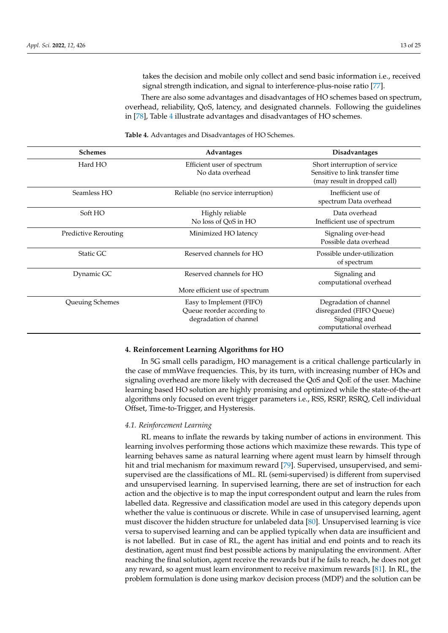takes the decision and mobile only collect and send basic information i.e., received signal strength indication, and signal to interference-plus-noise ratio [\[77\]](#page-22-16).

There are also some advantages and disadvantages of HO schemes based on spectrum, overhead, reliability, QoS, latency, and designated channels. Following the guidelines in [\[78\]](#page-22-17), Table [4](#page-12-1) illustrate advantages and disadvantages of HO schemes.

| <b>Schemes</b>              | Advantages                                                                       | <b>Disadvantages</b>                                                                             |
|-----------------------------|----------------------------------------------------------------------------------|--------------------------------------------------------------------------------------------------|
| Hard HO                     | Efficient user of spectrum<br>No data overhead                                   | Short interruption of service<br>Sensitive to link transfer time<br>(may result in dropped call) |
| Seamless HO                 | Reliable (no service interruption)                                               | Inefficient use of<br>spectrum Data overhead                                                     |
| Soft HO                     | Highly reliable<br>No loss of QoS in HO                                          | Data overhead<br>Inefficient use of spectrum                                                     |
| <b>Predictive Rerouting</b> | Minimized HO latency                                                             | Signaling over-head<br>Possible data overhead                                                    |
| Static GC                   | Reserved channels for HO                                                         | Possible under-utilization<br>of spectrum                                                        |
| Dynamic GC                  | Reserved channels for HO<br>More efficient use of spectrum                       | Signaling and<br>computational overhead                                                          |
| Queuing Schemes             | Easy to Implement (FIFO)<br>Queue reorder according to<br>degradation of channel | Degradation of channel<br>disregarded (FIFO Queue)<br>Signaling and<br>computational overhead    |

<span id="page-12-1"></span>**Table 4.** Advantages and Disadvantages of HO Schemes.

#### <span id="page-12-0"></span>**4. Reinforcement Learning Algorithms for HO**

In 5G small cells paradigm, HO management is a critical challenge particularly in the case of mmWave frequencies. This, by its turn, with increasing number of HOs and signaling overhead are more likely with decreased the QoS and QoE of the user. Machine learning based HO solution are highly promising and optimized while the state-of-the-art algorithms only focused on event trigger parameters i.e., RSS, RSRP, RSRQ, Cell individual Offset, Time-to-Trigger, and Hysteresis.

#### *4.1. Reinforcement Learning*

RL means to inflate the rewards by taking number of actions in environment. This learning involves performing those actions which maximize these rewards. This type of learning behaves same as natural learning where agent must learn by himself through hit and trial mechanism for maximum reward [\[79\]](#page-22-18). Supervised, unsupervised, and semisupervised are the classifications of ML. RL (semi-supervised) is different from supervised and unsupervised learning. In supervised learning, there are set of instruction for each action and the objective is to map the input correspondent output and learn the rules from labelled data. Regressive and classification model are used in this category depends upon whether the value is continuous or discrete. While in case of unsupervised learning, agent must discover the hidden structure for unlabeled data [\[80\]](#page-22-19). Unsupervised learning is vice versa to supervised learning and can be applied typically when data are insufficient and is not labelled. But in case of RL, the agent has initial and end points and to reach its destination, agent must find best possible actions by manipulating the environment. After reaching the final solution, agent receive the rewards but if he fails to reach, he does not get any reward, so agent must learn environment to receive maximum rewards [\[81\]](#page-22-20). In RL, the problem formulation is done using markov decision process (MDP) and the solution can be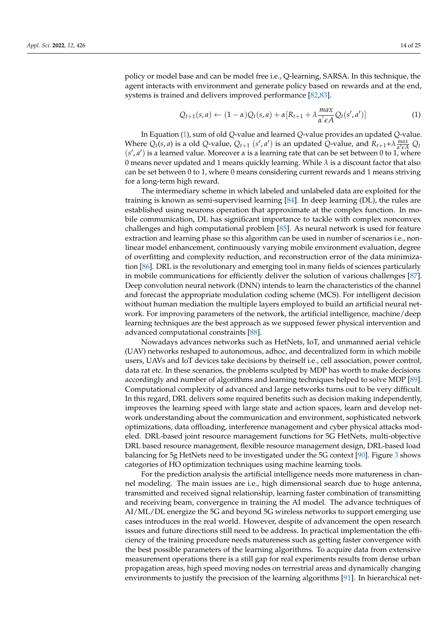policy or model base and can be model free i.e., Q-learning, SARSA. In this technique, the agent interacts with environment and generate policy based on rewards and at the end, systems is trained and delivers improved performance [\[82,](#page-22-21)[83\]](#page-22-22).

<span id="page-13-0"></span>
$$
Q_{t+1}(s,a) \leftarrow (1-\alpha)Q_t(s,a) + \alpha [R_{t+1} + \lambda \frac{max}{\alpha' \epsilon A} Q_t(s',a')]
$$
\n(1)

In Equation [\(1\)](#page-13-0), sum of old *Q*-value and learned *Q*-value provides an updated *Q*-value. Where  $Q_t(s, a)$  is a old Q-value,  $Q_{t+1}$   $(s', a')$  is an updated Q-value, and  $R_{t+1} + \lambda \frac{max}{\alpha' \epsilon'}$  $\frac{max}{\alpha' \epsilon A} Q_t$  $(s', a')$  is a learned value. Moreover  $\alpha$  is a learning rate that can be set between 0 to 1, where 0 means never updated and 1 means quickly learning. While *λ* is a discount factor that also can be set between 0 to 1, where 0 means considering current rewards and 1 means striving for a long-term high reward.

The intermediary scheme in which labeled and unlabeled data are exploited for the training is known as semi-supervised learning [\[84\]](#page-22-23). In deep learning (DL), the rules are established using neurons operation that approximate at the complex function. In mobile communication, DL has significant importance to tackle with complex nonconvex challenges and high computational problem [\[85\]](#page-22-24). As neural network is used for feature extraction and learning phase so this algorithm can be used in number of scenarios i.e., nonlinear model enhancement, continuously varying mobile environment evaluation, degree of overfitting and complexity reduction, and reconstruction error of the data minimization [\[86\]](#page-22-25). DRL is the revolutionary and emerging tool in many fields of sciences particularly in mobile communications for efficiently deliver the solution of various challenges [\[87\]](#page-23-0). Deep convolution neural network (DNN) intends to learn the characteristics of the channel and forecast the appropriate modulation coding scheme (MCS). For intelligent decision without human mediation the multiple layers employed to build an artificial neural network. For improving parameters of the network, the artificial intelligence, machine/deep learning techniques are the best approach as we supposed fewer physical intervention and advanced computational constraints [\[88\]](#page-23-1).

Nowadays advances networks such as HetNets, IoT, and unmanned aerial vehicle (UAV) networks reshaped to autonomous, adhoc, and decentralized form in which mobile users, UAVs and IoT devices take decisions by theirself i.e., cell association, power control, data rat etc. In these scenarios, the problems sculpted by MDP has worth to make decisions accordingly and number of algorithms and learning techniques helped to solve MDP [\[89\]](#page-23-2). Computational complexity of advanced and large networks turns out to be very difficult. In this regard, DRL delivers some required benefits such as decision making independently, improves the learning speed with large state and action spaces, learn and develop network understanding about the communication and environment, sophisticated network optimizations, data offloading, interference management and cyber physical attacks modeled. DRL-based joint resource management functions for 5G HetNets, multi-objective DRL based resource management, flexible resource management design, DRL-based load balancing for 5g HetNets need to be investigated under the 5G context [\[90\]](#page-23-3). Figure [3](#page-14-0) shows categories of HO optimization techniques using machine learning tools.

For the prediction analysis the artificial intelligence needs more matureness in channel modeling. The main issues are i.e., high dimensional search due to huge antenna, transmitted and received signal relationship, learning faster combination of transmitting and receiving beam, convergence in training the AI model. The advance techniques of AI/ML/DL energize the 5G and beyond 5G wireless networks to support emerging use cases introduces in the real world. However, despite of advancement the open research issues and future directions still need to be address. In practical implementation the efficiency of the training procedure needs matureness such as getting faster convergence with the best possible parameters of the learning algorithms. To acquire data from extensive measurement operations there is a still gap for real experiments results from dense urban propagation areas, high speed moving nodes on terrestrial areas and dynamically changing environments to justify the precision of the learning algorithms [\[91\]](#page-23-4). In hierarchical net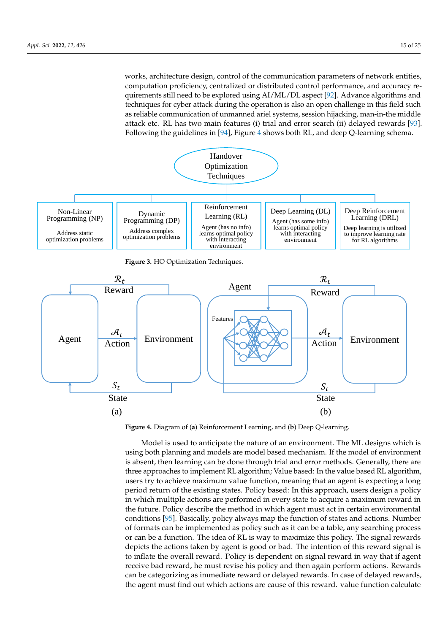<span id="page-14-0"></span>works, architecture design, control of the communication parameters of network entities, computation proficiency, centralized or distributed control performance, and accuracy requirements still need to be explored using AI/ML/DL aspect [\[92\]](#page-23-5). Advance algorithms and techniques for cyber attack during the operation is also an open challenge in this field such as reliable communication of unmanned ariel systems, session hijacking, man-in-the middle attack etc. RL has two main features (i) trial and error search (ii) delayed rewards [\[93\]](#page-23-6). Following the guidelines in [\[94\]](#page-23-7), Figure [4](#page-14-1) shows both RL, and deep Q-learning schema.



<span id="page-14-1"></span>**Figure 4.** Diagram of (**a**) Reinforcement Learning, and (**b**) Deep Q-learning.

Model is used to anticipate the nature of an environment. The ML designs which is using both planning and models are model based mechanism. If the model of environment is absent, then learning can be done through trial and error methods. Generally, there are three approaches to implement RL algorithm; Value based: In the value based RL algorithm, users try to achieve maximum value function, meaning that an agent is expecting a long period return of the existing states. Policy based: In this approach, users design a policy in which multiple actions are performed in every state to acquire a maximum reward in the future. Policy describe the method in which agent must act in certain environmental conditions [\[95\]](#page-23-8). Basically, policy always map the function of states and actions. Number of formats can be implemented as policy such as it can be a table, any searching process or can be a function. The idea of RL is way to maximize this policy. The signal rewards depicts the actions taken by agent is good or bad. The intention of this reward signal is to inflate the overall reward. Policy is dependent on signal reward in way that if agent receive bad reward, he must revise his policy and then again perform actions. Rewards can be categorizing as immediate reward or delayed rewards. In case of delayed rewards, the agent must find out which actions are cause of this reward. value function calculate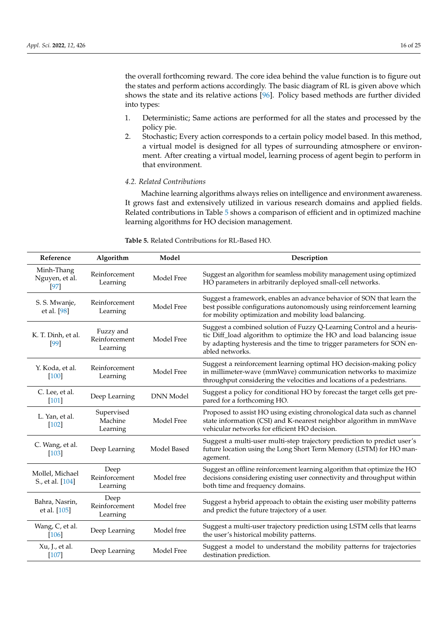the overall forthcoming reward. The core idea behind the value function is to figure out the states and perform actions accordingly. The basic diagram of RL is given above which shows the state and its relative actions [\[96\]](#page-23-9). Policy based methods are further divided into types:

- 1. Deterministic; Same actions are performed for all the states and processed by the policy pie.
- 2. Stochastic; Every action corresponds to a certain policy model based. In this method, a virtual model is designed for all types of surrounding atmosphere or environment. After creating a virtual model, learning process of agent begin to perform in that environment.

## *4.2. Related Contributions*

Machine learning algorithms always relies on intelligence and environment awareness. It grows fast and extensively utilized in various research domains and applied fields. Related contributions in Table [5](#page-16-1) shows a comparison of efficient and in optimized machine learning algorithms for HO decision management.

| Reference                            | Algorithm                              | Model            | Description                                                                                                                                                                                                                              |
|--------------------------------------|----------------------------------------|------------------|------------------------------------------------------------------------------------------------------------------------------------------------------------------------------------------------------------------------------------------|
| Minh-Thang<br>Nguyen, et al.<br>[97] | Reinforcement<br>Learning              | Model Free       | Suggest an algorithm for seamless mobility management using optimized<br>HO parameters in arbitrarily deployed small-cell networks.                                                                                                      |
| S. S. Mwanje,<br>et al. [98]         | Reinforcement<br>Learning              | Model Free       | Suggest a framework, enables an advance behavior of SON that learn the<br>best possible configurations autonomously using reinforcement learning<br>for mobility optimization and mobility load balancing.                               |
| K. T. Dinh, et al.<br>[99]           | Fuzzy and<br>Reinforcement<br>Learning | Model Free       | Suggest a combined solution of Fuzzy Q-Learning Control and a heuris-<br>tic Diff_load algorithm to optimize the HO and load balancing issue<br>by adapting hysteresis and the time to trigger parameters for SON en-<br>abled networks. |
| Y. Koda, et al.<br>$[100]$           | Reinforcement<br>Learning              | Model Free       | Suggest a reinforcement learning optimal HO decision-making policy<br>in millimeter-wave (mmWave) communication networks to maximize<br>throughput considering the velocities and locations of a pedestrians.                            |
| C. Lee, et al.<br>$[101]$            | Deep Learning                          | <b>DNN</b> Model | Suggest a policy for conditional HO by forecast the target cells get pre-<br>pared for a forthcoming HO.                                                                                                                                 |
| L. Yan, et al.<br>$[102]$            | Supervised<br>Machine<br>Learning      | Model Free       | Proposed to assist HO using existing chronological data such as channel<br>state information (CSI) and K-nearest neighbor algorithm in mmWave<br>vehicular networks for efficient HO decision.                                           |
| C. Wang, et al.<br>$[103]$           | Deep Learning                          | Model Based      | Suggest a multi-user multi-step trajectory prediction to predict user's<br>future location using the Long Short Term Memory (LSTM) for HO man-<br>agement.                                                                               |
| Mollel, Michael<br>S., et al. [104]  | Deep<br>Reinforcement<br>Learning      | Model free       | Suggest an offline reinforcement learning algorithm that optimize the HO<br>decisions considering existing user connectivity and throughput within<br>both time and frequency domains.                                                   |
| Bahra, Nasrin,<br>et al. [105]       | Deep<br>Reinforcement<br>Learning      | Model free       | Suggest a hybrid approach to obtain the existing user mobility patterns<br>and predict the future trajectory of a user.                                                                                                                  |
| Wang, C, et al.<br>$[106]$           | Deep Learning                          | Model free       | Suggest a multi-user trajectory prediction using LSTM cells that learns<br>the user's historical mobility patterns.                                                                                                                      |
| Xu, J., et al.<br>[107]              | Deep Learning                          | Model Free       | Suggest a model to understand the mobility patterns for trajectories<br>destination prediction.                                                                                                                                          |

**Table 5.** Related Contributions for RL-Based HO.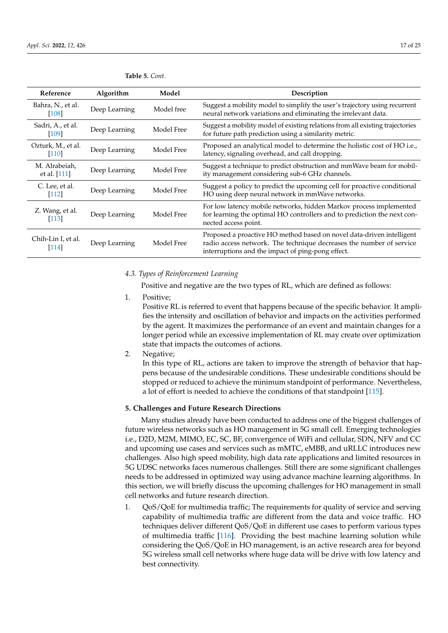| Reference                        | Algorithm     | Model      | Description                                                                                                                                                                                       |
|----------------------------------|---------------|------------|---------------------------------------------------------------------------------------------------------------------------------------------------------------------------------------------------|
| Bahra, N., et al.<br>[108]       | Deep Learning | Model free | Suggest a mobility model to simplify the user's trajectory using recurrent<br>neural network variations and eliminating the irrelevant data.                                                      |
| Sadri, A., et al.<br>$[109]$     | Deep Learning | Model Free | Suggest a mobility model of existing relations from all existing trajectories<br>for future path prediction using a similarity metric.                                                            |
| Ozturk, M., et al.<br>$[110]$    | Deep Learning | Model Free | Proposed an analytical model to determine the holistic cost of HO i.e.,<br>latency, signaling overhead, and call dropping.                                                                        |
| M. Alrabeiah,<br>et al. [111]    | Deep Learning | Model Free | Suggest a technique to predict obstruction and mmWave beam for mobil-<br>ity management considering sub-6 GHz channels.                                                                           |
| C. Lee, et al.<br>$[112]$        | Deep Learning | Model Free | Suggest a policy to predict the upcoming cell for proactive conditional<br>HO using deep neural network in mmWave networks.                                                                       |
| Z. Wang, et al.<br>$[113]$       | Deep Learning | Model Free | For low latency mobile networks, hidden Markov process implemented<br>for learning the optimal HO controllers and to prediction the next con-<br>nected access point.                             |
| Chih-Lin I, et al.<br><b>114</b> | Deep Learning | Model Free | Proposed a proactive HO method based on novel data-driven intelligent<br>radio access network. The technique decreases the number of service<br>interruptions and the impact of ping-pong effect. |

<span id="page-16-1"></span>**Table 5.** *Cont.*

#### *4.3. Types of Reinforcement Learning*

Positive and negative are the two types of RL, which are defined as follows:

1. Positive;

Positive RL is referred to event that happens because of the specific behavior. It amplifies the intensity and oscillation of behavior and impacts on the activities performed by the agent. It maximizes the performance of an event and maintain changes for a longer period while an excessive implementation of RL may create over optimization state that impacts the outcomes of actions.

2. Negative;

In this type of RL, actions are taken to improve the strength of behavior that happens because of the undesirable conditions. These undesirable conditions should be stopped or reduced to achieve the minimum standpoint of performance. Nevertheless, a lot of effort is needed to achieve the conditions of that standpoint [\[115\]](#page-24-0).

## <span id="page-16-0"></span>**5. Challenges and Future Research Directions**

Many studies already have been conducted to address one of the biggest challenges of future wireless networks such as HO management in 5G small cell. Emerging technologies i.e., D2D, M2M, MIMO, EC, SC, BF, convergence of WiFi and cellular, SDN, NFV and CC and upcoming use cases and services such as mMTC, eMBB, and uRLLC introduces new challenges. Also high speed mobility, high data rate applications and limited resources in 5G UDSC networks faces numerous challenges. Still there are some significant challenges needs to be addressed in optimized way using advance machine learning algorithms. In this section, we will briefly discuss the upcoming challenges for HO management in small cell networks and future research direction.

1. QoS/QoE for multimedia traffic; The requirements for quality of service and serving capability of multimedia traffic are different from the data and voice traffic. HO techniques deliver different QoS/QoE in different use cases to perform various types of multimedia traffic [\[116\]](#page-24-1). Providing the best machine learning solution while considering the QoS/QoE in HO management, is an active research area for beyond 5G wireless small cell networks where huge data will be drive with low latency and best connectivity.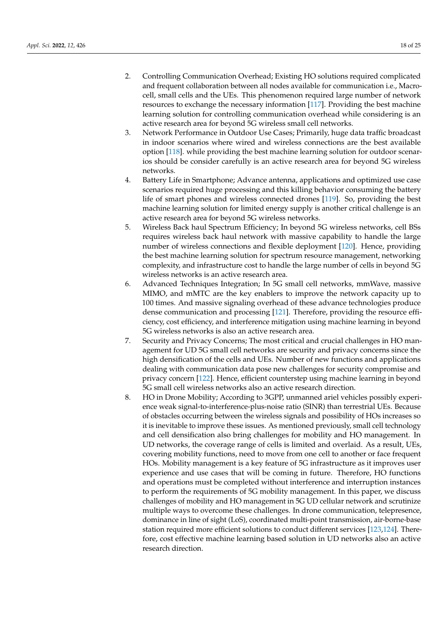- 2. Controlling Communication Overhead; Existing HO solutions required complicated and frequent collaboration between all nodes available for communication i.e., Macrocell, small cells and the UEs. This phenomenon required large number of network resources to exchange the necessary information [\[117\]](#page-24-2). Providing the best machine learning solution for controlling communication overhead while considering is an active research area for beyond 5G wireless small cell networks.
- 3. Network Performance in Outdoor Use Cases; Primarily, huge data traffic broadcast in indoor scenarios where wired and wireless connections are the best available option [\[118\]](#page-24-3). while providing the best machine learning solution for outdoor scenarios should be consider carefully is an active research area for beyond 5G wireless networks.
- 4. Battery Life in Smartphone; Advance antenna, applications and optimized use case scenarios required huge processing and this killing behavior consuming the battery life of smart phones and wireless connected drones [\[119\]](#page-24-4). So, providing the best machine learning solution for limited energy supply is another critical challenge is an active research area for beyond 5G wireless networks.
- 5. Wireless Back haul Spectrum Efficiency; In beyond 5G wireless networks, cell BSs requires wireless back haul network with massive capability to handle the large number of wireless connections and flexible deployment [\[120\]](#page-24-5). Hence, providing the best machine learning solution for spectrum resource management, networking complexity, and infrastructure cost to handle the large number of cells in beyond 5G wireless networks is an active research area.
- 6. Advanced Techniques Integration; In 5G small cell networks, mmWave, massive MIMO, and mMTC are the key enablers to improve the network capacity up to 100 times. And massive signaling overhead of these advance technologies produce dense communication and processing [\[121\]](#page-24-6). Therefore, providing the resource efficiency, cost efficiency, and interference mitigation using machine learning in beyond 5G wireless networks is also an active research area.
- 7. Security and Privacy Concerns; The most critical and crucial challenges in HO management for UD 5G small cell networks are security and privacy concerns since the high densification of the cells and UEs. Number of new functions and applications dealing with communication data pose new challenges for security compromise and privacy concern [\[122\]](#page-24-7). Hence, efficient counterstep using machine learning in beyond 5G small cell wireless networks also an active research direction.
- 8. HO in Drone Mobility; According to 3GPP, unmanned ariel vehicles possibly experience weak signal-to-interference-plus-noise ratio (SINR) than terrestrial UEs. Because of obstacles occurring between the wireless signals and possibility of HOs increases so it is inevitable to improve these issues. As mentioned previously, small cell technology and cell densification also bring challenges for mobility and HO management. In UD networks, the coverage range of cells is limited and overlaid. As a result, UEs, covering mobility functions, need to move from one cell to another or face frequent HOs. Mobility management is a key feature of 5G infrastructure as it improves user experience and use cases that will be coming in future. Therefore, HO functions and operations must be completed without interference and interruption instances to perform the requirements of 5G mobility management. In this paper, we discuss challenges of mobility and HO management in 5G UD cellular network and scrutinize multiple ways to overcome these challenges. In drone communication, telepresence, dominance in line of sight (LoS), coordinated multi-point transmission, air-borne-base station required more efficient solutions to conduct different services [\[123](#page-24-8)[,124\]](#page-24-9). Therefore, cost effective machine learning based solution in UD networks also an active research direction.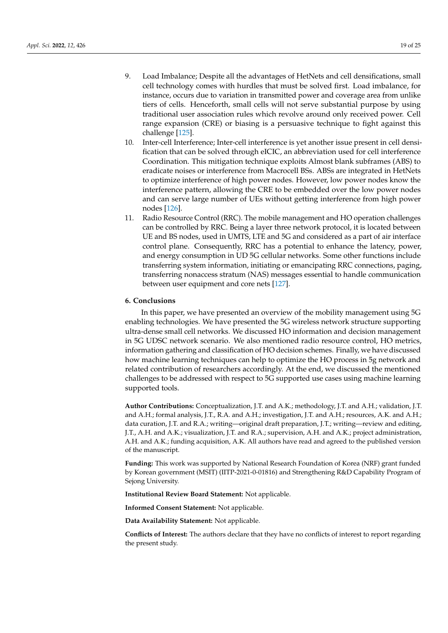- 9. Load Imbalance; Despite all the advantages of HetNets and cell densifications, small cell technology comes with hurdles that must be solved first. Load imbalance, for instance, occurs due to variation in transmitted power and coverage area from unlike tiers of cells. Henceforth, small cells will not serve substantial purpose by using traditional user association rules which revolve around only received power. Cell range expansion (CRE) or biasing is a persuasive technique to fight against this challenge [\[125\]](#page-24-10).
- 10. Inter-cell Interference; Inter-cell interference is yet another issue present in cell densification that can be solved through eICIC, an abbreviation used for cell interference Coordination. This mitigation technique exploits Almost blank subframes (ABS) to eradicate noises or interference from Macrocell BSs. ABSs are integrated in HetNets to optimize interference of high power nodes. However, low power nodes know the interference pattern, allowing the CRE to be embedded over the low power nodes and can serve large number of UEs without getting interference from high power nodes [\[126\]](#page-24-11).
- 11. Radio Resource Control (RRC). The mobile management and HO operation challenges can be controlled by RRC. Being a layer three network protocol, it is located between UE and BS nodes, used in UMTS, LTE and 5G and considered as a part of air interface control plane. Consequently, RRC has a potential to enhance the latency, power, and energy consumption in UD 5G cellular networks. Some other functions include transferring system information, initiating or emancipating RRC connections, paging, transferring nonaccess stratum (NAS) messages essential to handle communication between user equipment and core nets [\[127\]](#page-24-12).

#### **6. Conclusions**

In this paper, we have presented an overview of the mobility management using 5G enabling technologies. We have presented the 5G wireless network structure supporting ultra-dense small cell networks. We discussed HO information and decision management in 5G UDSC network scenario. We also mentioned radio resource control, HO metrics, information gathering and classification of HO decision schemes. Finally, we have discussed how machine learning techniques can help to optimize the HO process in 5g network and related contribution of researchers accordingly. At the end, we discussed the mentioned challenges to be addressed with respect to 5G supported use cases using machine learning supported tools.

**Author Contributions:** Conceptualization, J.T. and A.K.; methodology, J.T. and A.H.; validation, J.T. and A.H.; formal analysis, J.T., R.A. and A.H.; investigation, J.T. and A.H.; resources, A.K. and A.H.; data curation, J.T. and R.A.; writing—original draft preparation, J.T.; writing—review and editing, J.T., A.H. and A.K.; visualization, J.T. and R.A.; supervision, A.H. and A.K.; project administration, A.H. and A.K.; funding acquisition, A.K. All authors have read and agreed to the published version of the manuscript.

**Funding:** This work was supported by National Research Foundation of Korea (NRF) grant funded by Korean government (MSIT) (IITP-2021-0-01816) and Strengthening R&D Capability Program of Sejong University.

**Institutional Review Board Statement:** Not applicable.

**Informed Consent Statement:** Not applicable.

**Data Availability Statement:** Not applicable.

**Conflicts of Interest:** The authors declare that they have no conflicts of interest to report regarding the present study.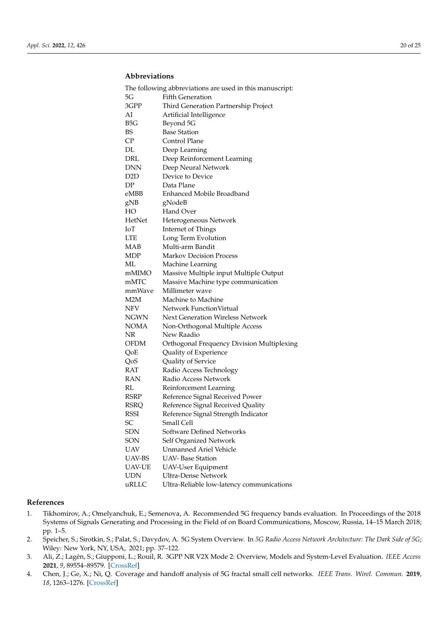# **Abbreviations**

| The following abbreviations are used in this manuscript: |                                            |  |  |
|----------------------------------------------------------|--------------------------------------------|--|--|
| 5G                                                       | <b>Fifth Generation</b>                    |  |  |
| 3GPP                                                     | Third Generation Partnership Project       |  |  |
| AI                                                       | Artificial Intelligence                    |  |  |
| B5G                                                      | Beyond 5G                                  |  |  |
| BS                                                       | <b>Base Station</b>                        |  |  |
| $\mathsf{C}\mathsf{P}$                                   | Control Plane                              |  |  |
| DL                                                       | Deep Learning                              |  |  |
| DRL                                                      | Deep Reinforcement Learning                |  |  |
| <b>DNN</b>                                               | Deep Neural Network                        |  |  |
| D <sub>2</sub> D                                         | Device to Device                           |  |  |
| DP                                                       | Data Plane                                 |  |  |
| eMBB                                                     | <b>Enhanced Mobile Broadband</b>           |  |  |
| gNB                                                      | gNodeB                                     |  |  |
| HO                                                       | Hand Over                                  |  |  |
| HetNet                                                   | Heterogeneous Network                      |  |  |
| IоT                                                      | <b>Internet of Things</b>                  |  |  |
| <b>LTE</b>                                               | Long Term Evolution                        |  |  |
| MAB                                                      | Multi-arm Bandit                           |  |  |
| <b>MDP</b>                                               | Markov Decision Process                    |  |  |
| МL                                                       | Machine Learning                           |  |  |
| mMIMO                                                    | Massive Multiple input Multiple Output     |  |  |
| mMTC                                                     | Massive Machine type communication         |  |  |
| mmWave                                                   | Millimeter wave                            |  |  |
| M2M                                                      | Machine to Machine                         |  |  |
| NFV                                                      | Network FunctionVirtual                    |  |  |
| <b>NGWN</b>                                              | Next Generation Wireless Network           |  |  |
| <b>NOMA</b>                                              | Non-Orthogonal Multiple Access             |  |  |
| NR                                                       | New Raadio                                 |  |  |
| OFDM                                                     | Orthogonal Frequency Division Multiplexing |  |  |
| QoE                                                      | Quality of Experience                      |  |  |
| QoS                                                      | Quality of Service                         |  |  |
| RAT                                                      | Radio Access Technology                    |  |  |
| RAN                                                      | Radio Access Network                       |  |  |
| RL                                                       | Reinforcement Learning                     |  |  |
| RSRP                                                     | Reference Signal Received Power            |  |  |
| <b>RSRQ</b>                                              | Reference Signal Received Quality          |  |  |
| RSSI                                                     | Reference Signal Strength Indicator        |  |  |
| SС                                                       | Small Cell                                 |  |  |
| <b>SDN</b>                                               | Software Defined Networks                  |  |  |
| SON                                                      | Self Organized Network                     |  |  |
| <b>UAV</b>                                               | Unmanned Ariel Vehicle                     |  |  |
| <b>UAV-BS</b>                                            | <b>UAV-</b> Base Station                   |  |  |
| <b>UAV-UE</b>                                            | <b>UAV-User Equipment</b>                  |  |  |
| <b>UDN</b>                                               | <b>Ultra-Dense Network</b>                 |  |  |
| uRLLC                                                    | Ultra-Reliable low-latency communications  |  |  |

#### **References**

- <span id="page-19-0"></span>1. Tikhomirov, A.; Omelyanchuk, E.; Semenova, A. Recommended 5G frequency bands evaluation. In Proceedings of the 2018 Systems of Signals Generating and Processing in the Field of on Board Communications, Moscow, Russia, 14–15 March 2018; pp. 1–5.
- <span id="page-19-1"></span>2. Speicher, S.; Sirotkin, S.; Palat, S.; Davydov, A. 5G System Overview. In *5G Radio Access Network Architecture: The Dark Side of 5G*; Wiley: New York, NY, USA, 2021; pp. 37–122.
- <span id="page-19-2"></span>3. Ali, Z.; Lagén, S.; Giupponi, L.; Rouil, R. 3GPP NR V2X Mode 2: Overview, Models and System-Level Evaluation. *IEEE Access* **2021**, *9*, 89554–89579. [\[CrossRef\]](http://doi.org/10.1109/ACCESS.2021.3090855)
- <span id="page-19-3"></span>4. Chen, J.; Ge, X.; Ni, Q. Coverage and handoff analysis of 5G fractal small cell networks. *IEEE Trans. Wirel. Commun.* **2019**, *18*, 1263–1276. [\[CrossRef\]](http://dx.doi.org/10.1109/TWC.2018.2890662)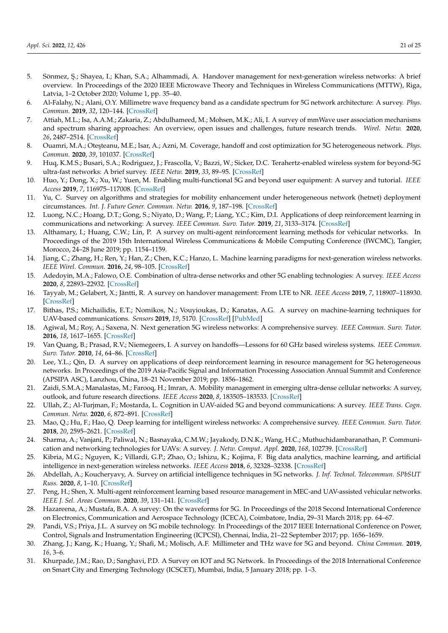- <span id="page-20-0"></span>5. Sönmez, Ş.; Shayea, I.; Khan, S.A.; Alhammadi, A. Handover management for next-generation wireless networks: A brief overview. In Proceedings of the 2020 IEEE Microwave Theory and Techniques in Wireless Communications (MTTW), Riga, Latvia, 1–2 October 2020; Volume 1, pp. 35–40.
- <span id="page-20-1"></span>6. Al-Falahy, N.; Alani, O.Y. Millimetre wave frequency band as a candidate spectrum for 5G network architecture: A survey. *Phys. Commun.* **2019**, *32*, 120–144. [\[CrossRef\]](http://dx.doi.org/10.1016/j.phycom.2018.11.003)
- <span id="page-20-2"></span>7. Attiah, M.L.; Isa, A.A.M.; Zakaria, Z.; Abdulhameed, M.; Mohsen, M.K.; Ali, I. A survey of mmWave user association mechanisms and spectrum sharing approaches: An overview, open issues and challenges, future research trends. *Wirel. Netw.* **2020**, *26*, 2487–2514. [\[CrossRef\]](http://dx.doi.org/10.1007/s11276-019-01976-x)
- <span id="page-20-3"></span>8. Ouamri, M.A.; Oteşteanu, M.E.; Isar, A.; Azni, M. Coverage, handoff and cost optimization for 5G heterogeneous network. *Phys. Commun.* **2020**, *39*, 101037. [\[CrossRef\]](http://dx.doi.org/10.1016/j.phycom.2020.101037)
- <span id="page-20-4"></span>9. Huq, K.M.S.; Busari, S.A.; Rodriguez, J.; Frascolla, V.; Bazzi, W.; Sicker, D.C. Terahertz-enabled wireless system for beyond-5G ultra-fast networks: A brief survey. *IEEE Netw.* **2019**, *33*, 89–95. [\[CrossRef\]](http://dx.doi.org/10.1109/MNET.2019.1800430)
- <span id="page-20-5"></span>10. Huo, Y.; Dong, X.; Xu, W.; Yuen, M. Enabling multi-functional 5G and beyond user equipment: A survey and tutorial. *IEEE Access* **2019**, *7*, 116975–117008. [\[CrossRef\]](http://dx.doi.org/10.1109/ACCESS.2019.2936291)
- <span id="page-20-6"></span>11. Yu, C. Survey on algorithms and strategies for mobility enhancement under heterogeneous network (hetnet) deployment circumstances. *Int. J. Future Gener. Commun. Netw.* **2016**, *9*, 187–198. [\[CrossRef\]](http://dx.doi.org/10.14257/ijfgcn.2016.9.1.17)
- <span id="page-20-7"></span>12. Luong, N.C.; Hoang, D.T.; Gong, S.; Niyato, D.; Wang, P.; Liang, Y.C.; Kim, D.I. Applications of deep reinforcement learning in communications and networking: A survey. *IEEE Commun. Surv. Tutor.* **2019**, *21*, 3133–3174. [\[CrossRef\]](http://dx.doi.org/10.1109/COMST.2019.2916583)
- <span id="page-20-8"></span>13. Althamary, I.; Huang, C.W.; Lin, P. A survey on multi-agent reinforcement learning methods for vehicular networks. In Proceedings of the 2019 15th International Wireless Communications & Mobile Computing Conference (IWCMC), Tangier, Morocco, 24–28 June 2019; pp. 1154–1159.
- <span id="page-20-9"></span>14. Jiang, C.; Zhang, H.; Ren, Y.; Han, Z.; Chen, K.C.; Hanzo, L. Machine learning paradigms for next-generation wireless networks. *IEEE Wirel. Commun.* **2016**, *24*, 98–105. [\[CrossRef\]](http://dx.doi.org/10.1109/MWC.2016.1500356WC)
- <span id="page-20-10"></span>15. Adedoyin, M.A.; Falowo, O.E. Combination of ultra-dense networks and other 5G enabling technologies: A survey. *IEEE Access* **2020**, *8*, 22893–22932. [\[CrossRef\]](http://dx.doi.org/10.1109/ACCESS.2020.2969980)
- <span id="page-20-11"></span>16. Tayyab, M.; Gelabert, X.; Jäntti, R. A survey on handover management: From LTE to NR. *IEEE Access* **2019**, *7*, 118907–118930. [\[CrossRef\]](http://dx.doi.org/10.1109/ACCESS.2019.2937405)
- <span id="page-20-12"></span>17. Bithas, P.S.; Michailidis, E.T.; Nomikos, N.; Vouyioukas, D.; Kanatas, A.G. A survey on machine-learning techniques for UAV-based communications. *Sensors* **2019**, *19*, 5170. [\[CrossRef\]](http://dx.doi.org/10.3390/s19235170) [\[PubMed\]](http://www.ncbi.nlm.nih.gov/pubmed/31779133)
- <span id="page-20-13"></span>18. Agiwal, M.; Roy, A.; Saxena, N. Next generation 5G wireless networks: A comprehensive survey. *IEEE Commun. Surv. Tutor.* **2016**, *18*, 1617–1655. [\[CrossRef\]](http://dx.doi.org/10.1109/COMST.2016.2532458)
- <span id="page-20-14"></span>19. Van Quang, B.; Prasad, R.V.; Niemegeers, I. A survey on handoffs—Lessons for 60 GHz based wireless systems. *IEEE Commun. Surv. Tutor.* **2010**, *14*, 64–86. [\[CrossRef\]](http://dx.doi.org/10.1109/SURV.2011.101310.00005)
- <span id="page-20-15"></span>20. Lee, Y.L.; Qin, D. A survey on applications of deep reinforcement learning in resource management for 5G heterogeneous networks. In Proceedings of the 2019 Asia-Pacific Signal and Information Processing Association Annual Summit and Conference (APSIPA ASC), Lanzhou, China, 18–21 November 2019; pp. 1856–1862.
- <span id="page-20-16"></span>21. Zaidi, S.M.A.; Manalastas, M.; Farooq, H.; Imran, A. Mobility management in emerging ultra-dense cellular networks: A survey, outlook, and future research directions. *IEEE Access* **2020**, *8*, 183505–183533. [\[CrossRef\]](http://dx.doi.org/10.1109/ACCESS.2020.3027258)
- <span id="page-20-17"></span>22. Ullah, Z.; Al-Turjman, F.; Mostarda, L. Cognition in UAV-aided 5G and beyond communications: A survey. *IEEE Trans. Cogn. Commun. Netw.* **2020**, *6*, 872–891. [\[CrossRef\]](http://dx.doi.org/10.1109/TCCN.2020.2968311)
- <span id="page-20-18"></span>23. Mao, Q.; Hu, F.; Hao, Q. Deep learning for intelligent wireless networks: A comprehensive survey. *IEEE Commun. Surv. Tutor.* **2018**, *20*, 2595–2621. [\[CrossRef\]](http://dx.doi.org/10.1109/COMST.2018.2846401)
- <span id="page-20-19"></span>24. Sharma, A.; Vanjani, P.; Paliwal, N.; Basnayaka, C.M.W.; Jayakody, D.N.K.; Wang, H.C.; Muthuchidambaranathan, P. Communication and networking technologies for UAVs: A survey. *J. Netw. Comput. Appl.* **2020**, *168*, 102739. [\[CrossRef\]](http://dx.doi.org/10.1016/j.jnca.2020.102739)
- <span id="page-20-20"></span>25. Kibria, M.G.; Nguyen, K.; Villardi, G.P.; Zhao, O.; Ishizu, K.; Kojima, F. Big data analytics, machine learning, and artificial intelligence in next-generation wireless networks. *IEEE Access* **2018**, *6*, 32328–32338. [\[CrossRef\]](http://dx.doi.org/10.1109/ACCESS.2018.2837692)
- <span id="page-20-21"></span>26. Abdellah, A.; Koucheryavy, A. Survey on artificial intelligence techniques in 5G networks. *J. Inf. Technol. Telecommun. SPbSUT Russ.* **2020**, *8*, 1–10. [\[CrossRef\]](http://dx.doi.org/10.31854/2307-1303-2020-8-1-1-10)
- <span id="page-20-22"></span>27. Peng, H.; Shen, X. Multi-agent reinforcement learning based resource management in MEC-and UAV-assisted vehicular networks. *IEEE J. Sel. Areas Commun.* **2020**, *39*, 131–141. [\[CrossRef\]](http://dx.doi.org/10.1109/JSAC.2020.3036962)
- <span id="page-20-23"></span>28. Hazareena, A.; Mustafa, B.A. A survey: On the waveforms for 5G. In Proceedings of the 2018 Second International Conference on Electronics, Communication and Aerospace Technology (ICECA), Coimbatore, India, 29–31 March 2018; pp. 64–67.
- <span id="page-20-24"></span>29. Pandi, V.S.; Priya, J.L. A survey on 5G mobile technology. In Proceedings of the 2017 IEEE International Conference on Power, Control, Signals and Instrumentation Engineering (ICPCSI), Chennai, India, 21–22 September 2017; pp. 1656–1659.
- <span id="page-20-25"></span>30. Zhang, J.; Kang, K.; Huang, Y.; Shafi, M.; Molisch, A.F. Millimeter and THz wave for 5G and beyond. *China Commun.* **2019**, *16*, 3–6.
- <span id="page-20-26"></span>31. Khurpade, J.M.; Rao, D.; Sanghavi, P.D. A Survey on IOT and 5G Network. In Proceedings of the 2018 International Conference on Smart City and Emerging Technology (ICSCET), Mumbai, India, 5 January 2018; pp. 1–3.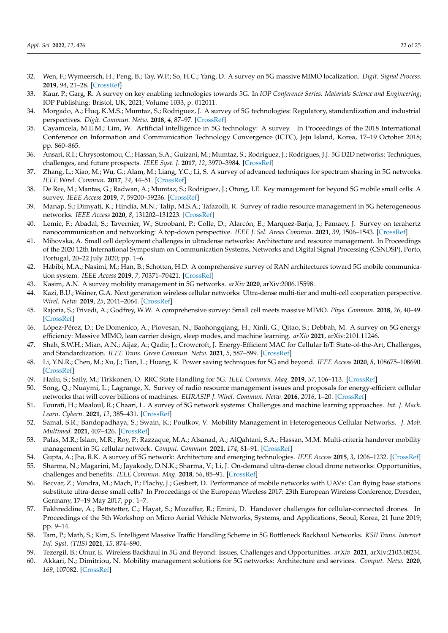- <span id="page-21-0"></span>32. Wen, F.; Wymeersch, H.; Peng, B.; Tay, W.P.; So, H.C.; Yang, D. A survey on 5G massive MIMO localization. *Digit. Signal Process.* **2019**, *94*, 21–28. [\[CrossRef\]](http://dx.doi.org/10.1016/j.dsp.2019.05.005)
- <span id="page-21-1"></span>33. Kaur, P.; Garg, R. A survey on key enabling technologies towards 5G. In *IOP Conference Series: Materials Science and Engineering*; IOP Publishing: Bristol, UK, 2021; Volume 1033, p. 012011.
- <span id="page-21-2"></span>34. Morgado, A.; Huq, K.M.S.; Mumtaz, S.; Rodriguez, J. A survey of 5G technologies: Regulatory, standardization and industrial perspectives. *Digit. Commun. Netw.* **2018**, *4*, 87–97. [\[CrossRef\]](http://dx.doi.org/10.1016/j.dcan.2017.09.010)
- <span id="page-21-3"></span>35. Cayamcela, M.E.M.; Lim, W. Artificial intelligence in 5G technology: A survey. In Proceedings of the 2018 International Conference on Information and Communication Technology Convergence (ICTC), Jeju Island, Korea, 17–19 October 2018; pp. 860–865.
- <span id="page-21-4"></span>36. Ansari, R.I.; Chrysostomou, C.; Hassan, S.A.; Guizani, M.; Mumtaz, S.; Rodriguez, J.; Rodrigues, J.J. 5G D2D networks: Techniques, challenges, and future prospects. *IEEE Syst. J.* **2017**, *12*, 3970–3984. [\[CrossRef\]](http://dx.doi.org/10.1109/JSYST.2017.2773633)
- <span id="page-21-5"></span>37. Zhang, L.; Xiao, M.; Wu, G.; Alam, M.; Liang, Y.C.; Li, S. A survey of advanced techniques for spectrum sharing in 5G networks. *IEEE Wirel. Commun.* **2017**, *24*, 44–51. [\[CrossRef\]](http://dx.doi.org/10.1109/MWC.2017.1700069)
- <span id="page-21-6"></span>38. De Ree, M.; Mantas, G.; Radwan, A.; Mumtaz, S.; Rodriguez, J.; Otung, I.E. Key management for beyond 5G mobile small cells: A survey. *IEEE Access* **2019**, *7*, 59200–59236. [\[CrossRef\]](http://dx.doi.org/10.1109/ACCESS.2019.2914359)
- <span id="page-21-7"></span>39. Manap, S.; Dimyati, K.; Hindia, M.N.; Talip, M.S.A.; Tafazolli, R. Survey of radio resource management in 5G heterogeneous networks. *IEEE Access* **2020**, *8*, 131202–131223. [\[CrossRef\]](http://dx.doi.org/10.1109/ACCESS.2020.3002252)
- <span id="page-21-8"></span>40. Lemic, F.; Abadal, S.; Tavernier, W.; Stroobant, P.; Colle, D.; Alarcón, E.; Marquez-Barja, J.; Famaey, J. Survey on terahertz nanocommunication and networking: A top-down perspective. *IEEE J. Sel. Areas Commun.* **2021**, *39*, 1506–1543. [\[CrossRef\]](http://dx.doi.org/10.1109/JSAC.2021.3071837)
- <span id="page-21-9"></span>41. Mihovska, A. Small cell deployment challenges in ultradense networks: Architecture and resource management. In Proceedings of the 2020 12th International Symposium on Communication Systems, Networks and Digital Signal Processing (CSNDSP), Porto, Portugal, 20–22 July 2020; pp. 1–6.
- <span id="page-21-10"></span>42. Habibi, M.A.; Nasimi, M.; Han, B.; Schotten, H.D. A comprehensive survey of RAN architectures toward 5G mobile communication system. *IEEE Access* **2019**, *7*, 70371–70421. [\[CrossRef\]](http://dx.doi.org/10.1109/ACCESS.2019.2919657)
- <span id="page-21-11"></span>43. Kasim, A.N. A survey mobility management in 5G networks. *arXiv* **2020**, arXiv:2006.15598.
- <span id="page-21-12"></span>44. Kazi, B.U.; Wainer, G.A. Next generation wireless cellular networks: Ultra-dense multi-tier and multi-cell cooperation perspective. *Wirel. Netw.* **2019**, *25*, 2041–2064. [\[CrossRef\]](http://dx.doi.org/10.1007/s11276-018-1796-y)
- <span id="page-21-13"></span>45. Rajoria, S.; Trivedi, A.; Godfrey, W.W. A comprehensive survey: Small cell meets massive MIMO. *Phys. Commun.* **2018**, *26*, 40–49. [\[CrossRef\]](http://dx.doi.org/10.1016/j.phycom.2017.11.004)
- <span id="page-21-14"></span>46. López-Pérez, D.; De Domenico, A.; Piovesan, N.; Baohongqiang, H.; Xinli, G.; Qitao, S.; Debbah, M. A survey on 5G energy efficiency: Massive MIMO, lean carrier design, sleep modes, and machine learning. *arXiv* **2021**, arXiv:2101.11246.
- <span id="page-21-15"></span>47. Shah, S.W.H.; Mian, A.N.; Aijaz, A.; Qadir, J.; Crowcroft, J. Energy-Efficient MAC for Cellular IoT: State-of-the-Art, Challenges, and Standardization. *IEEE Trans. Green Commun. Netw.* **2021**, *5*, 587–599. [\[CrossRef\]](http://dx.doi.org/10.1109/TGCN.2021.3062093)
- <span id="page-21-16"></span>48. Li, Y.N.R.; Chen, M.; Xu, J.; Tian, L.; Huang, K. Power saving techniques for 5G and beyond. *IEEE Access* **2020**, *8*, 108675–108690. [\[CrossRef\]](http://dx.doi.org/10.1109/ACCESS.2020.3001180)
- <span id="page-21-17"></span>49. Hailu, S.; Saily, M.; Tirkkonen, O. RRC State Handling for 5G. *IEEE Commun. Mag.* **2019**, *57*, 106–113. [\[CrossRef\]](http://dx.doi.org/10.1109/MCOM.2018.1700957)
- <span id="page-21-18"></span>50. Song, Q.; Nuaymi, L.; Lagrange, X. Survey of radio resource management issues and proposals for energy-efficient cellular networks that will cover billions of machines. *EURASIP J. Wirel. Commun. Netw.* **2016**, *2016*, 1–20. [\[CrossRef\]](http://dx.doi.org/10.1186/s13638-016-0636-y)
- <span id="page-21-19"></span>51. Fourati, H.; Maaloul, R.; Chaari, L. A survey of 5G network systems: Challenges and machine learning approaches. *Int. J. Mach. Learn. Cybern.* **2021**, *12*, 385–431. [\[CrossRef\]](http://dx.doi.org/10.1007/s13042-020-01178-4)
- <span id="page-21-20"></span>52. Samal, S.R.; Bandopadhaya, S.; Swain, K.; Poulkov, V. Mobility Management in Heterogeneous Cellular Networks. *J. Mob. Multimed.* **2021**, 407–426. [\[CrossRef\]](http://dx.doi.org/10.13052/jmm1550-4646.171321)
- <span id="page-21-21"></span>53. Palas, M.R.; Islam, M.R.; Roy, P.; Razzaque, M.A.; Alsanad, A.; AlQahtani, S.A.; Hassan, M.M. Multi-criteria handover mobility management in 5G cellular network. *Comput. Commun.* **2021**, *174*, 81–91. [\[CrossRef\]](http://dx.doi.org/10.1016/j.comcom.2021.04.020)
- <span id="page-21-22"></span>54. Gupta, A.; Jha, R.K. A survey of 5G network: Architecture and emerging technologies. *IEEE Access* **2015**, *3*, 1206–1232. [\[CrossRef\]](http://dx.doi.org/10.1109/ACCESS.2015.2461602)
- <span id="page-21-23"></span>55. Sharma, N.; Magarini, M.; Jayakody, D.N.K.; Sharma, V.; Li, J. On-demand ultra-dense cloud drone networks: Opportunities, challenges and benefits. *IEEE Commun. Mag.* **2018**, *56*, 85–91. [\[CrossRef\]](http://dx.doi.org/10.1109/MCOM.2018.1701001)
- <span id="page-21-24"></span>56. Becvar, Z.; Vondra, M.; Mach, P.; Plachy, J.; Gesbert, D. Performance of mobile networks with UAVs: Can flying base stations substitute ultra-dense small cells? In Proceedings of the European Wireless 2017: 23th European Wireless Conference, Dresden, Germany, 17–19 May 2017; pp. 1–7.
- <span id="page-21-25"></span>57. Fakhreddine, A.; Bettstetter, C.; Hayat, S.; Muzaffar, R.; Emini, D. Handover challenges for cellular-connected drones. In Proceedings of the 5th Workshop on Micro Aerial Vehicle Networks, Systems, and Applications, Seoul, Korea, 21 June 2019; pp. 9–14.
- <span id="page-21-26"></span>58. Tam, P.; Math, S.; Kim, S. Intelligent Massive Traffic Handling Scheme in 5G Bottleneck Backhaul Networks. *KSII Trans. Internet Inf. Syst. (TIIS)* **2021**, *15*, 874–890.
- <span id="page-21-27"></span>59. Tezergil, B.; Onur, E. Wireless Backhaul in 5G and Beyond: Issues, Challenges and Opportunities. *arXiv* **2021**, arXiv:2103.08234.
- <span id="page-21-28"></span>60. Akkari, N.; Dimitriou, N. Mobility management solutions for 5G networks: Architecture and services. *Comput. Netw.* **2020**, *169*, 107082. [\[CrossRef\]](http://dx.doi.org/10.1016/j.comnet.2019.107082)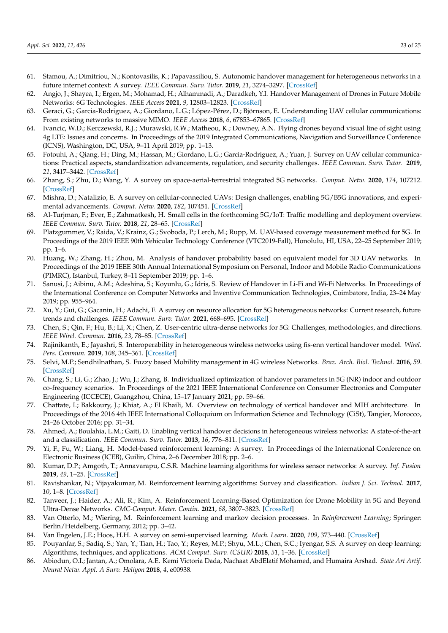- <span id="page-22-0"></span>61. Stamou, A.; Dimitriou, N.; Kontovasilis, K.; Papavassiliou, S. Autonomic handover management for heterogeneous networks in a future internet context: A survey. *IEEE Commun. Surv. Tutor.* **2019**, *21*, 3274–3297. [\[CrossRef\]](http://dx.doi.org/10.1109/COMST.2019.2916188)
- <span id="page-22-1"></span>62. Angjo, J.; Shayea, I.; Ergen, M.; Mohamad, H.; Alhammadi, A.; Daradkeh, Y.I. Handover Management of Drones in Future Mobile Networks: 6G Technologies. *IEEE Access* **2021**, *9*, 12803–12823. [\[CrossRef\]](http://dx.doi.org/10.1109/ACCESS.2021.3051097)
- <span id="page-22-2"></span>63. Geraci, G.; Garcia-Rodriguez, A.; Giordano, L.G.; López-Pérez, D.; Björnson, E. Understanding UAV cellular communications: From existing networks to massive MIMO. *IEEE Access* **2018**, *6*, 67853–67865. [\[CrossRef\]](http://dx.doi.org/10.1109/ACCESS.2018.2876700)
- <span id="page-22-3"></span>64. Ivancic, W.D.; Kerczewski, R.J.; Murawski, R.W.; Matheou, K.; Downey, A.N. Flying drones beyond visual line of sight using 4g LTE: Issues and concerns. In Proceedings of the 2019 Integrated Communications, Navigation and Surveillance Conference (ICNS), Washington, DC, USA, 9–11 April 2019; pp. 1–13.
- <span id="page-22-4"></span>65. Fotouhi, A.; Qiang, H.; Ding, M.; Hassan, M.; Giordano, L.G.; Garcia-Rodriguez, A.; Yuan, J. Survey on UAV cellular communications: Practical aspects, standardization advancements, regulation, and security challenges. *IEEE Commun. Surv. Tutor.* **2019**, *21*, 3417–3442. [\[CrossRef\]](http://dx.doi.org/10.1109/COMST.2019.2906228)
- <span id="page-22-5"></span>66. Zhang, S.; Zhu, D.; Wang, Y. A survey on space-aerial-terrestrial integrated 5G networks. *Comput. Netw.* **2020**, *174*, 107212. [\[CrossRef\]](http://dx.doi.org/10.1016/j.comnet.2020.107212)
- <span id="page-22-6"></span>67. Mishra, D.; Natalizio, E. A survey on cellular-connected UAVs: Design challenges, enabling 5G/B5G innovations, and experimental advancements. *Comput. Netw.* **2020**, *182*, 107451. [\[CrossRef\]](http://dx.doi.org/10.1016/j.comnet.2020.107451)
- <span id="page-22-7"></span>68. Al-Turjman, F.; Ever, E.; Zahmatkesh, H. Small cells in the forthcoming 5G/IoT: Traffic modelling and deployment overview. *IEEE Commun. Surv. Tutor.* **2018**, *21*, 28–65. [\[CrossRef\]](http://dx.doi.org/10.1109/COMST.2018.2864779)
- <span id="page-22-8"></span>69. Platzgummer, V.; Raida, V.; Krainz, G.; Svoboda, P.; Lerch, M.; Rupp, M. UAV-based coverage measurement method for 5G. In Proceedings of the 2019 IEEE 90th Vehicular Technology Conference (VTC2019-Fall), Honolulu, HI, USA, 22–25 September 2019; pp. 1–6.
- <span id="page-22-9"></span>70. Huang, W.; Zhang, H.; Zhou, M. Analysis of handover probability based on equivalent model for 3D UAV networks. In Proceedings of the 2019 IEEE 30th Annual International Symposium on Personal, Indoor and Mobile Radio Communications (PIMRC), Istanbul, Turkey, 8–11 September 2019; pp. 1–6.
- <span id="page-22-10"></span>71. Sanusi, J.; Aibinu, A.M.; Adeshina, S.; Koyunlu, G.; Idris, S. Review of Handover in Li-Fi and Wi-Fi Networks. In Proceedings of the International Conference on Computer Networks and Inventive Communication Technologies, Coimbatore, India, 23–24 May 2019; pp. 955–964.
- <span id="page-22-11"></span>72. Xu, Y.; Gui, G.; Gacanin, H.; Adachi, F. A survey on resource allocation for 5G heterogeneous networks: Current research, future trends and challenges. *IEEE Commun. Surv. Tutor.* **2021**, 668–695. [\[CrossRef\]](http://dx.doi.org/10.1109/COMST.2021.3059896)
- <span id="page-22-12"></span>73. Chen, S.; Qin, F.; Hu, B.; Li, X.; Chen, Z. User-centric ultra-dense networks for 5G: Challenges, methodologies, and directions. *IEEE Wirel. Commun.* **2016**, *23*, 78–85. [\[CrossRef\]](http://dx.doi.org/10.1109/MWC.2016.7462488)
- <span id="page-22-13"></span>74. Rajinikanth, E.; Jayashri, S. Interoperability in heterogeneous wireless networks using fis-enn vertical handover model. *Wirel. Pers. Commun.* **2019**, *108*, 345–361. [\[CrossRef\]](http://dx.doi.org/10.1007/s11277-019-06406-x)
- <span id="page-22-14"></span>75. Selvi, M.P.; Sendhilnathan, S. Fuzzy based Mobility management in 4G wireless Networks. *Braz. Arch. Biol. Technol.* **2016**, *59*. [\[CrossRef\]](http://dx.doi.org/10.1590/1678-4324-2016161047)
- <span id="page-22-15"></span>76. Chang, S.; Li, G.; Zhao, J.; Wu, J.; Zhang, B. Individualized optimization of handover parameters in 5G (NR) indoor and outdoor co-frequency scenarios. In Proceedings of the 2021 IEEE International Conference on Consumer Electronics and Computer Engineering (ICCECE), Guangzhou, China, 15–17 January 2021; pp. 59–66.
- <span id="page-22-16"></span>77. Chattate, I.; Bakkoury, J.; Khiat, A.; El Khaili, M. Overview on technology of vertical handover and MIH architecture. In Proceedings of the 2016 4th IEEE International Colloquium on Information Science and Technology (CiSt), Tangier, Morocco, 24–26 October 2016; pp. 31–34.
- <span id="page-22-17"></span>78. Ahmed, A.; Boulahia, L.M.; Gaiti, D. Enabling vertical handover decisions in heterogeneous wireless networks: A state-of-the-art and a classification. *IEEE Commun. Surv. Tutor.* **2013**, *16*, 776–811. [\[CrossRef\]](http://dx.doi.org/10.1109/SURV.2013.082713.00141)
- <span id="page-22-18"></span>79. Yi, F.; Fu, W.; Liang, H. Model-based reinforcement learning: A survey. In Proceedings of the International Conference on Electronic Business (ICEB), Guilin, China, 2–6 December 2018; pp. 2–6.
- <span id="page-22-19"></span>80. Kumar, D.P.; Amgoth, T.; Annavarapu, C.S.R. Machine learning algorithms for wireless sensor networks: A survey. *Inf. Fusion* **2019**, *49*, 1–25. [\[CrossRef\]](http://dx.doi.org/10.1016/j.inffus.2018.09.013)
- <span id="page-22-20"></span>81. Ravishankar, N.; Vijayakumar, M. Reinforcement learning algorithms: Survey and classification. *Indian J. Sci. Technol.* **2017**, *10*, 1–8. [\[CrossRef\]](http://dx.doi.org/10.17485/ijst/2017/v10i1/109385)
- <span id="page-22-21"></span>82. Tanveer, J.; Haider, A.; Ali, R.; Kim, A. Reinforcement Learning-Based Optimization for Drone Mobility in 5G and Beyond Ultra-Dense Networks. *CMC-Comput. Mater. Contin.* **2021**, *68*, 3807–3823. [\[CrossRef\]](http://dx.doi.org/10.32604/cmc.2021.016087)
- <span id="page-22-22"></span>83. Van Otterlo, M.; Wiering, M. Reinforcement learning and markov decision processes. In *Reinforcement Learning*; Springer: Berlin/Heidelberg, Germany, 2012; pp. 3–42.
- <span id="page-22-23"></span>84. Van Engelen, J.E.; Hoos, H.H. A survey on semi-supervised learning. *Mach. Learn.* **2020**, *109*, 373–440. [\[CrossRef\]](http://dx.doi.org/10.1007/s10994-019-05855-6)
- <span id="page-22-24"></span>85. Pouyanfar, S.; Sadiq, S.; Yan, Y.; Tian, H.; Tao, Y.; Reyes, M.P.; Shyu, M.L.; Chen, S.C.; Iyengar, S.S. A survey on deep learning: Algorithms, techniques, and applications. *ACM Comput. Surv. (CSUR)* **2018**, *51*, 1–36. [\[CrossRef\]](http://dx.doi.org/10.1145/3150226)
- <span id="page-22-25"></span>86. Abiodun, O.I.; Jantan, A.; Omolara, A.E. Kemi Victoria Dada, Nachaat AbdElatif Mohamed, and Humaira Arshad. *State Art Artif. Neural Netw. Appl. A Surv. Heliyon* **2018**, *4*, e00938.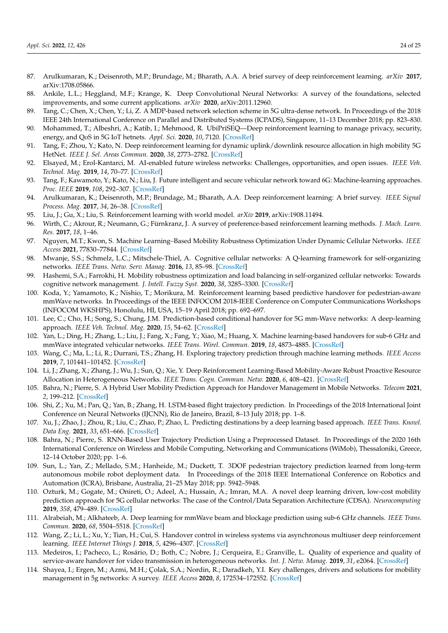- <span id="page-23-0"></span>87. Arulkumaran, K.; Deisenroth, M.P.; Brundage, M.; Bharath, A.A. A brief survey of deep reinforcement learning. *arXiv* **2017**, arXiv:1708.05866.
- <span id="page-23-1"></span>88. Ankile, L.L.; Heggland, M.F.; Krange, K. Deep Convolutional Neural Networks: A survey of the foundations, selected improvements, and some current applications. *arXiv* **2020**, arXiv:2011.12960.
- <span id="page-23-2"></span>89. Tang, C.; Chen, X.; Chen, Y.; Li, Z. A MDP-based network selection scheme in 5G ultra-dense network. In Proceedings of the 2018 IEEE 24th International Conference on Parallel and Distributed Systems (ICPADS), Singapore, 11–13 December 2018; pp. 823–830.
- <span id="page-23-3"></span>90. Mohammed, T.; Albeshri, A.; Katib, I.; Mehmood, R. UbiPriSEQ—Deep reinforcement learning to manage privacy, security, energy, and QoS in 5G IoT hetnets. *Appl. Sci.* **2020**, *10*, 7120. [\[CrossRef\]](http://dx.doi.org/10.3390/app10207120)
- <span id="page-23-4"></span>91. Tang, F.; Zhou, Y.; Kato, N. Deep reinforcement learning for dynamic uplink/downlink resource allocation in high mobility 5G HetNet. *IEEE J. Sel. Areas Commun.* **2020**, *38*, 2773–2782. [\[CrossRef\]](http://dx.doi.org/10.1109/JSAC.2020.3005495)
- <span id="page-23-5"></span>92. Elsayed, M.; Erol-Kantarci, M. AI-enabled future wireless networks: Challenges, opportunities, and open issues. *IEEE Veh. Technol. Mag.* **2019**, *14*, 70–77. [\[CrossRef\]](http://dx.doi.org/10.1109/MVT.2019.2919236)
- <span id="page-23-6"></span>93. Tang, F.; Kawamoto, Y.; Kato, N.; Liu, J. Future intelligent and secure vehicular network toward 6G: Machine-learning approaches. *Proc. IEEE* **2019**, *108*, 292–307. [\[CrossRef\]](http://dx.doi.org/10.1109/JPROC.2019.2954595)
- <span id="page-23-7"></span>94. Arulkumaran, K.; Deisenroth, M.P.; Brundage, M.; Bharath, A.A. Deep reinforcement learning: A brief survey. *IEEE Signal Process. Mag.* **2017**, *34*, 26–38. [\[CrossRef\]](http://dx.doi.org/10.1109/MSP.2017.2743240)
- <span id="page-23-8"></span>95. Liu, J.; Gu, X.; Liu, S. Reinforcement learning with world model. *arXiv* **2019**, arXiv:1908.11494.
- <span id="page-23-9"></span>96. Wirth, C.; Akrour, R.; Neumann, G.; Fürnkranz, J. A survey of preference-based reinforcement learning methods. *J. Mach. Learn. Res.* **2017**, *18*, 1–46.
- <span id="page-23-10"></span>97. Nguyen, M.T.; Kwon, S. Machine Learning–Based Mobility Robustness Optimization Under Dynamic Cellular Networks. *IEEE Access* **2021**, 77830–77844. [\[CrossRef\]](http://dx.doi.org/10.1109/ACCESS.2021.3083554)
- <span id="page-23-11"></span>98. Mwanje, S.S.; Schmelz, L.C.; Mitschele-Thiel, A. Cognitive cellular networks: A Q-learning framework for self-organizing networks. *IEEE Trans. Netw. Serv. Manag.* **2016**, *13*, 85–98. [\[CrossRef\]](http://dx.doi.org/10.1109/TNSM.2016.2522080)
- <span id="page-23-12"></span>99. Hashemi, S.A.; Farrokhi, H. Mobility robustness optimization and load balancing in self-organized cellular networks: Towards cognitive network management. *J. Intell. Fuzzy Syst.* **2020**, *38*, 3285–3300. [\[CrossRef\]](http://dx.doi.org/10.3233/JIFS-191558)
- <span id="page-23-13"></span>100. Koda, Y.; Yamamoto, K.; Nishio, T.; Morikura, M. Reinforcement learning based predictive handover for pedestrian-aware mmWave networks. In Proceedings of the IEEE INFOCOM 2018-IEEE Conference on Computer Communications Workshops (INFOCOM WKSHPS), Honolulu, HI, USA, 15–19 April 2018; pp. 692–697.
- <span id="page-23-14"></span>101. Lee, C.; Cho, H.; Song, S.; Chung, J.M. Prediction-based conditional handover for 5G mm-Wave networks: A deep-learning approach. *IEEE Veh. Technol. Mag.* **2020**, *15*, 54–62. [\[CrossRef\]](http://dx.doi.org/10.1109/MVT.2019.2959065)
- <span id="page-23-15"></span>102. Yan, L.; Ding, H.; Zhang, L.; Liu, J.; Fang, X.; Fang, Y.; Xiao, M.; Huang, X. Machine learning-based handovers for sub-6 GHz and mmWave integrated vehicular networks. *IEEE Trans. Wirel. Commun.* **2019**, *18*, 4873–4885. [\[CrossRef\]](http://dx.doi.org/10.1109/TWC.2019.2930193)
- <span id="page-23-16"></span>103. Wang, C.; Ma, L.; Li, R.; Durrani, T.S.; Zhang, H. Exploring trajectory prediction through machine learning methods. *IEEE Access* **2019**, *7*, 101441–101452. [\[CrossRef\]](http://dx.doi.org/10.1109/ACCESS.2019.2929430)
- <span id="page-23-17"></span>104. Li, J.; Zhang, X.; Zhang, J.; Wu, J.; Sun, Q.; Xie, Y. Deep Reinforcement Learning-Based Mobility-Aware Robust Proactive Resource Allocation in Heterogeneous Networks. *IEEE Trans. Cogn. Commun. Netw.* **2020**, *6*, 408–421. [\[CrossRef\]](http://dx.doi.org/10.1109/TCCN.2019.2954396)
- <span id="page-23-18"></span>105. Bahra, N.; Pierre, S. A Hybrid User Mobility Prediction Approach for Handover Management in Mobile Networks. *Telecom* **2021**, *2*, 199–212. [\[CrossRef\]](http://dx.doi.org/10.3390/telecom2020013)
- <span id="page-23-19"></span>106. Shi, Z.; Xu, M.; Pan, Q.; Yan, B.; Zhang, H. LSTM-based flight trajectory prediction. In Proceedings of the 2018 International Joint Conference on Neural Networks (IJCNN), Rio de Janeiro, Brazil, 8–13 July 2018; pp. 1–8.
- <span id="page-23-20"></span>107. Xu, J.; Zhao, J.; Zhou, R.; Liu, C.; Zhao, P.; Zhao, L. Predicting destinations by a deep learning based approach. *IEEE Trans. Knowl. Data Eng.* **2021**, *33*, 651–666. [\[CrossRef\]](http://dx.doi.org/10.1109/TKDE.2019.2932984)
- <span id="page-23-21"></span>108. Bahra, N.; Pierre, S. RNN-Based User Trajectory Prediction Using a Preprocessed Dataset. In Proceedings of the 2020 16th International Conference on Wireless and Mobile Computing, Networking and Communications (WiMob), Thessaloniki, Greece, 12–14 October 2020; pp. 1–6.
- <span id="page-23-22"></span>109. Sun, L.; Yan, Z.; Mellado, S.M.; Hanheide, M.; Duckett, T. 3DOF pedestrian trajectory prediction learned from long-term autonomous mobile robot deployment data. In Proceedings of the 2018 IEEE International Conference on Robotics and Automation (ICRA), Brisbane, Australia, 21–25 May 2018; pp. 5942–5948.
- <span id="page-23-23"></span>110. Ozturk, M.; Gogate, M.; Onireti, O.; Adeel, A.; Hussain, A.; Imran, M.A. A novel deep learning driven, low-cost mobility prediction approach for 5G cellular networks: The case of the Control/Data Separation Architecture (CDSA). *Neurocomputing* **2019**, *358*, 479–489. [\[CrossRef\]](http://dx.doi.org/10.1016/j.neucom.2019.01.031)
- <span id="page-23-24"></span>111. Alrabeiah, M.; Alkhateeb, A. Deep learning for mmWave beam and blockage prediction using sub-6 GHz channels. *IEEE Trans. Commun.* **2020**, *68*, 5504–5518. [\[CrossRef\]](http://dx.doi.org/10.1109/TCOMM.2020.3003670)
- <span id="page-23-25"></span>112. Wang, Z.; Li, L.; Xu, Y.; Tian, H.; Cui, S. Handover control in wireless systems via asynchronous multiuser deep reinforcement learning. *IEEE Internet Things J.* **2018**, *5*, 4296–4307. [\[CrossRef\]](http://dx.doi.org/10.1109/JIOT.2018.2848295)
- <span id="page-23-26"></span>113. Medeiros, I.; Pacheco, L.; Rosário, D.; Both, C.; Nobre, J.; Cerqueira, E.; Granville, L. Quality of experience and quality of service-aware handover for video transmission in heterogeneous networks. *Int. J. Netw. Manag.* **2019**, *31*, e2064. [\[CrossRef\]](http://dx.doi.org/10.1002/nem.2064)
- <span id="page-23-27"></span>114. Shayea, I.; Ergen, M.; Azmi, M.H.; Çolak, S.A.; Nordin, R.; Daradkeh, Y.I. Key challenges, drivers and solutions for mobility management in 5g networks: A survey. *IEEE Access* **2020**, *8*, 172534–172552. [\[CrossRef\]](http://dx.doi.org/10.1109/ACCESS.2020.3023802)